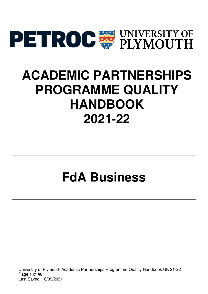

# **ACADEMIC PARTNERSHIPS PROGRAMME QUALITY HANDBOOK 2021-22**

# **FdA Business**

University of Plymouth Academic Partnerships Programme Quality Handbook UK 21-22 Page **1** of **46** Last Saved: 16/09/2021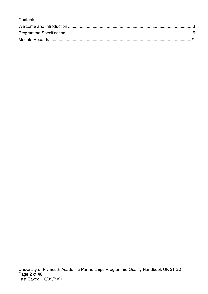## **Contents**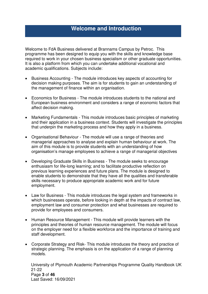# **Welcome and Introduction**

<span id="page-2-0"></span>Welcome to FdA Business delivered at Brannams Campus by Petroc.This programme has been designed to equip you with the skills and knowledge base required to work in your chosen business specialism or other graduate opportunities. It is also a platform from which you can undertake additional vocational and academic qualifications. Subjects include:

- Business Accounting The module introduces key aspects of accounting for decision making purposes. The aim is for students to gain an understanding of the management of finance within an organisation.
- Economics for Business The module introduces students to the national and European business environment and considers a range of economic factors that affect decision making.
- Marketing Fundamentals This module introduces basic principles of marketing and their application in a business context. Students will investigate the principles that underpin the marketing process and how they apply in a business.
- Organisational Behaviour The module will use a range of theories and managerial approaches to analyse and explain human behaviour at work. The aim of this module is to provide students with an understanding of how organisation's manage employees to achieve a range of managerial objectives
- Developing Graduate Skills in Business The module seeks to encourage enthusiasm for life-long learning; and to facilitate productive reflection on previous learning experiences and future plans. The module is designed to enable students to demonstrate that they have all the qualities and transferable skills necessary to produce appropriate academic work and for future employment.
- Law for Business This module introduces the legal system and frameworks in which businesses operate, before looking in depth at the impacts of contract law, employment law and consumer protection and what businesses are required to provide for employees and consumers.
- Human Resource Management This module will provide learners with the principles and theories of human resource management. The module will focus on the employer need for a flexible workforce and the importance of training and staff development.
- Corporate Strategy and Risk- This module introduces the theory and practice of strategic planning. The emphasis is on the application of a range of planning models.

University of Plymouth Academic Partnerships Programme Quality Handbook UK 21-22 Page **3** of **46** Last Saved: 16/09/2021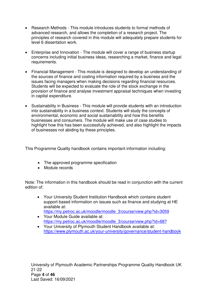- Research Methods This module introduces students to formal methods of advanced research, and allows the completion of a research project. The principles of research covered in this module will adequately prepare students for level 6 dissertation work.
- Enterprise and Innovation The module will cover a range of business startup concerns including initial business ideas, researching a market, finance and legal requirements.
- Financial Management This module is designed to develop an understanding of the sources of finance and costing information required by a business and the issues facing managers when making decisions regarding financial resources. Students will be expected to evaluate the role of the stock exchange in the provision of finance and analyse investment appraisal techniques when investing in capital expenditure.
- Sustainability in Business This module will provide students with an introduction into sustainability in a business context. Students will study the concepts of environmental, economic and social sustainability and how this benefits businesses and consumers. The module will make use of case studies to highlight how this has been successfully achieved, and also highlight the impacts of businesses not abiding by these principles.

This Programme Quality handbook contains important information including:

- The approved programme specification
- Module records

Note: The information in this handbook should be read in conjunction with the current edition of:

- Your University Student Institution Handbook which contains student support based information on issues such as finance and studying at HE available at:
- [https://my.petroc.ac.uk/moodle/moodle\\_3/course/view.php?id=3059](https://my.petroc.ac.uk/moodle/moodle_3/course/view.php?id=3059) • Your Module Guide available at:
- [https://my.petroc.ac.uk/moodle/moodle\\_3/course/view.php?id=687](https://my.petroc.ac.uk/moodle/moodle_3/course/view.php?id=687)
- Your University of Plymouth Student Handbook available at: <https://www.plymouth.ac.uk/your-university/governance/student-handbook>

University of Plymouth Academic Partnerships Programme Quality Handbook UK 21-22 Page **4** of **46** Last Saved: 16/09/2021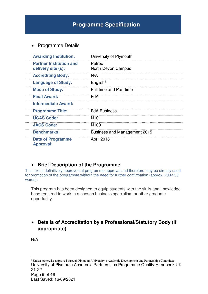# **Programme Specification**

# <span id="page-4-0"></span>• Programme Details

| <b>Awarding Institution:</b>                         | University of Plymouth              |
|------------------------------------------------------|-------------------------------------|
| <b>Partner Institution and</b><br>delivery site (s): | Petroc<br>North Devon Campus        |
| <b>Accrediting Body:</b>                             | N/A                                 |
| <b>Language of Study:</b>                            | English <sup>1</sup>                |
| <b>Mode of Study:</b>                                | Full time and Part time             |
| <b>Final Award:</b>                                  | <b>FdA</b>                          |
| <b>Intermediate Award:</b>                           |                                     |
| <b>Programme Title:</b>                              | <b>FdA Business</b>                 |
| <b>UCAS Code:</b>                                    | N <sub>101</sub>                    |
| <b>JACS Code:</b>                                    | N <sub>100</sub>                    |
| <b>Benchmarks:</b>                                   | <b>Business and Management 2015</b> |
| <b>Date of Programme</b><br><b>Approval:</b>         | April 2016                          |

# • **Brief Description of the Programme**

This text is definitively approved at programme approval and therefore may be directly used for promotion of the programme without the need for further confirmation (approx. 200-250 words):

This program has been designed to equip students with the skills and knowledge base required to work in a chosen business specialism or other graduate opportunity.

• **Details of Accreditation by a Professional/Statutory Body (if appropriate)** 

N/A

University of Plymouth Academic Partnerships Programme Quality Handbook UK 21-22 Page **5** of **46** Last Saved: 16/09/2021  $\overline{a}$ <sup>1</sup> Unless otherwise approved through Plymouth University's Academic Development and Partnerships Committee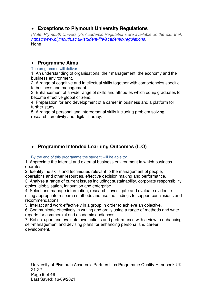# • **Exceptions to Plymouth University Regulations**

*(Note: Plymouth University's Academic Regulations are available on the extranet: [https://www.plymouth.ac.uk/student-life/academic-regulations\)](https://www.plymouth.ac.uk/student-life/academic-regulations)*  **None** 

## • **Programme Aims**

### The programme will deliver:

1. An understanding of organisations, their management, the economy and the business environment.

2. A range of cognitive and intellectual skills together with competencies specific to business and management.

3. Enhancement of a wide range of skills and attributes which equip graduates to become effective global citizens.

4. Preparation for and development of a career in business and a platform for further study.

5. A range of personal and interpersonal skills including problem solving, research, creativity and digital literacy.

# • **Programme Intended Learning Outcomes (ILO)**

### By the end of this programme the student will be able to:

1. Appreciate the internal and external business environment in which business operates.

2. Identify the skills and techniques relevant to the management of people,

operations and other resources, effective decision making and performance.

3. Analyse a range of current issues including; sustainability, corporate responsibility, ethics, globalisation, innovation and enterprise

4. Select and manage information, research, investigate and evaluate evidence using appropriate research methods and use the findings to support conclusions and recommendations.

5. Interact and work effectively in a group in order to achieve an objective.

6. Communicate effectively in writing and orally using a range of methods and write reports for commercial and academic audiences.

7. Reflect upon and evaluate own actions and performance with a view to enhancing self-management and devising plans for enhancing personal and career development.

University of Plymouth Academic Partnerships Programme Quality Handbook UK 21-22 Page **6** of **46** Last Saved: 16/09/2021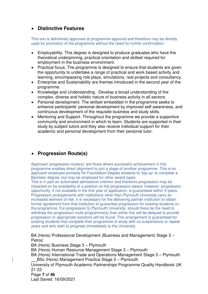# • **Distinctive Features**

This text is definitively approved at programme approval and therefore may be directly used for promotion of the programme without the need for further confirmation:

- Employability. This degree is designed to produce graduates who have the theoretical underpinning, practical orientation and skillset required for employment in the business environment.
- Practical focus. The programme is designed to ensure that students are given the opportunity to undertake a range of practical and work based activity and learning, encompassing role plays, simulations, real projects and consultancy.
- Enterprise and Sustainability are themes introduced in the second year of the programme.
- Knowledge and Understanding. Develop a broad understanding of the complex, diverse and holistic nature of business activity in all sectors.
- Personal development. The skillset embedded in the programme seeks to enhance participants' personal development by improved self-awareness, and continuous development of the requisite business and study skills.
- Mentoring and Support. Throughout the programme we provide a supportive community and environment in which to learn. Students are supported in their study by subject tutors and they also receive individual support for their academic and personal development from their personal tutor.

# • **Progression Route(s)**

Approved 'progression route(s)' are those where successful achievement in this programme enables direct alignment to join a stage of another programme. This is an approach employed primarily for Foundation Degree students to 'top-up' to complete a Bachelor degree, but may be employed for other award types.

This is in part an automated admissions criterion and therefore progression may be impacted on by availability of a position on the progression award; however, progression opportunity, if not available in the first year of application, is guaranteed within 3-years. Progression arrangements with institutions other than Plymouth University carry an increased element of risk. It is necessary for the delivering partner institution to obtain formal agreement from that institution to guarantee progression for existing students on the programme. For progression to Plymouth University, should there be the need to withdraw the progression route programme(s) then either this will be delayed to provide progression or appropriate solutions will be found. This arrangement is guaranteed for existing students that complete their programme of study with no suspensions or repeat years and who wish to progress immediately to the University.

BA (Hons) Professional Development (Business and Management) Stage 3 – Petroc

BA (Hons) Business Stage 3 – Plymouth

BA (Hons) Human Resource Management Stage 3 – Plymouth

BA (Hons) International Trade and Operations Management Stage 3 – Plymouth BSc (Hons) Management Practice Stage 3 – Plymouth

University of Plymouth Academic Partnerships Programme Quality Handbook UK 21-22

Page **7** of **46** Last Saved: 16/09/2021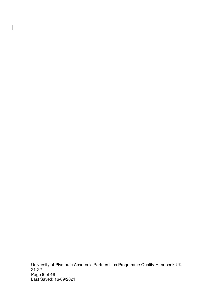University of Plymouth Academic Partnerships Programme Quality Handbook UK 21-22 Page **8** of **46** Last Saved: 16/09/2021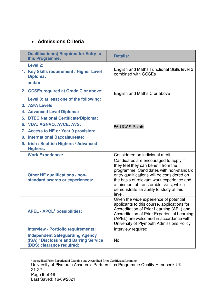# • **Admissions Criteria**

| <b>Qualification(s) Required for Entry to</b><br>this Programme:                                                                                                                                                                                                                                      | <b>Details:</b>                                                                                                                                                                                                                                                                                                     |
|-------------------------------------------------------------------------------------------------------------------------------------------------------------------------------------------------------------------------------------------------------------------------------------------------------|---------------------------------------------------------------------------------------------------------------------------------------------------------------------------------------------------------------------------------------------------------------------------------------------------------------------|
| Level 2:<br>1. Key Skills requirement / Higher Level<br><b>Diploma:</b><br>and/or                                                                                                                                                                                                                     | English and Maths Functional Skills level 2<br>combined with GCSEs                                                                                                                                                                                                                                                  |
| 2. GCSEs required at Grade C or above:                                                                                                                                                                                                                                                                | English and Maths C or above                                                                                                                                                                                                                                                                                        |
| Level 3: at least one of the following:<br>3. AS/A Levels<br>4. Advanced Level Diploma:<br>5. BTEC National Certificate/Diploma:<br>6. VDA: AGNVQ, AVCE, AVS:<br>7. Access to HE or Year 0 provision:<br>8. International Baccalaureate:<br>9. Irish / Scottish Highers / Advanced<br><b>Highers:</b> | <b>56 UCAS Points</b>                                                                                                                                                                                                                                                                                               |
| <b>Work Experience:</b>                                                                                                                                                                                                                                                                               | Considered on individual merit                                                                                                                                                                                                                                                                                      |
| <b>Other HE qualifications / non-</b><br>standard awards or experiences:                                                                                                                                                                                                                              | Candidates are encouraged to apply if<br>they feel they can benefit from the<br>programme. Candidates with non-standard<br>entry qualifications will be considered on<br>the basis of relevant work experience and<br>attainment of transferable skills, which<br>demonstrate an ability to study at this<br>level. |
| <b>APEL / APCL<sup>2</sup> possibilities:</b>                                                                                                                                                                                                                                                         | Given the wide experience of potential<br>applicants to this course, applications for<br>Accreditation of Prior Learning (APL) and<br>Accreditation of Prior Experiential Learning<br>(APEL) are welcomed in accordance with<br>University of Plymouth Admissions Policy                                            |
| <b>Interview / Portfolio requirements:</b>                                                                                                                                                                                                                                                            | Interview required                                                                                                                                                                                                                                                                                                  |
| <b>Independent Safeguarding Agency</b><br>(ISA) / Disclosure and Barring Service<br>(DBS) clearance required:                                                                                                                                                                                         | <b>No</b>                                                                                                                                                                                                                                                                                                           |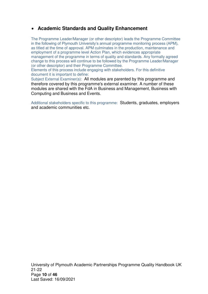# • **Academic Standards and Quality Enhancement**

The Programme Leader/Manager (or other descriptor) leads the Programme Committee in the following of Plymouth University's annual programme monitoring process (APM), as titled at the time of approval. APM culminates in the production, maintenance and employment of a programme level Action Plan, which evidences appropriate management of the programme in terms of quality and standards. Any formally agreed change to this process will continue to be followed by the Programme Leader/Manager (or other descriptor) and their Programme Committee.

Elements of this process include engaging with stakeholders. For this definitive document it is important to define:

Subject External Examiner(s): All modules are parented by this programme and therefore covered by this programme's external examiner. A number of these modules are shared with the FdA in Business and Management, Business with Computing and Business and Events.

Additional stakeholders specific to this programme: Students, graduates, employers and academic communities etc.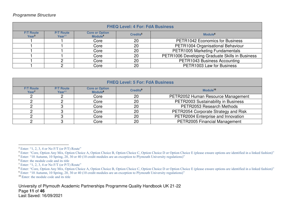#### **Programme Structure**

|                                       | <b>FHEQ Level: 4 For: FdA Business</b> |                                              |                      |                                                 |  |  |  |
|---------------------------------------|----------------------------------------|----------------------------------------------|----------------------|-------------------------------------------------|--|--|--|
| <b>F/T Route</b><br>Year <sup>3</sup> | <b>P/T Route</b><br>Year <sup>11</sup> | <b>Core or Option</b><br>Module <sup>4</sup> | Credits <sup>5</sup> | Module <sup>6</sup>                             |  |  |  |
|                                       |                                        | Core                                         | 20                   | <b>PETR1042 Economics for Business</b>          |  |  |  |
|                                       |                                        | Core                                         | 20                   | PETR1004 Organisational Behaviour               |  |  |  |
|                                       |                                        | Core                                         | 20                   | PETR1005 Marketing Fundamentals                 |  |  |  |
|                                       |                                        | Core                                         | 20                   | PETR1006 Developing Graduate Skills in Business |  |  |  |
|                                       |                                        | Core                                         | 20                   | PETR1043 Business Accounting                    |  |  |  |
|                                       |                                        | Core                                         | 20                   | PETR1003 Law for Business                       |  |  |  |

|                                       | <b>FHEQ Level: 5 For: FdA Business</b> |                                              |                      |                                      |  |  |  |
|---------------------------------------|----------------------------------------|----------------------------------------------|----------------------|--------------------------------------|--|--|--|
| <b>F/T Route</b><br>Year <sup>7</sup> | <b>P/T Route</b><br>Year <sup>11</sup> | <b>Core or Option</b><br>Module <sup>8</sup> | Credits <sup>9</sup> | Module <sup>10</sup>                 |  |  |  |
|                                       |                                        | Core                                         | 20                   | PETR2052 Human Resource Management   |  |  |  |
|                                       |                                        | Core                                         | 20                   | PETR2003 Sustainability in Business  |  |  |  |
|                                       |                                        | Core                                         | 20                   | PETR2053 Research Methods            |  |  |  |
|                                       |                                        | Core                                         | 20                   | PETR2054 Corporate Strategy and Risk |  |  |  |
|                                       |                                        | Core                                         | 20                   | PETR2004 Enterprise and Innovation   |  |  |  |
|                                       |                                        | Core                                         | 20                   | PETR2005 Financial Management        |  |  |  |

10 Enter: the module code and its title

University of Plymouth Academic Partnerships Programme Quality Handbook UK 21-22 Page **11** of **46** Last Saved: 16/09/2021

 $\overline{a}$  $3$  Enter: "1, 2, 3, 4 or No F/T (or P/T) Route"

<sup>&</sup>lt;sup>4</sup> Enter: "Core, Option Any Mix, Option Choice A, Option Choice B, Option Choice C, Option Choice D or Option Choice E (please ensure options are identified in a linked fashion)" <sup>5</sup> Enter: "10 Autumn, 10 Spring, 20, 30 or 40 (10 credit modules are an exception to Plymouth University regulations)"

<sup>6</sup> Enter: the module code and its title

<sup>7</sup> Enter: "1, 2, 3, 4 or No F/T (or P/T) Route"

<sup>&</sup>lt;sup>8</sup> Enter: "Core, Option Any Mix, Option Choice A, Option Choice B, Option Choice C, Option Choice D or Option Choice E (please ensure options are identified in a linked fashion)" <sup>9</sup> Enter: "10 Autumn, 10 Spring, 20, 30 or 40 (10 credit modules are an exception to Plymouth University regulations)"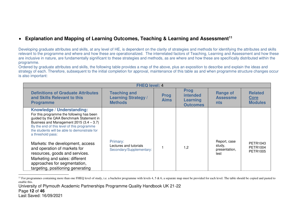# • **Explanation and Mapping of Learning Outcomes, Teaching & Learning and Assessment<sup>11</sup>**

Developing graduate attributes and skills, at any level of HE, is dependent on the clarity of strategies and methods for identifying the attributes and skills relevant to the programme and where and how these are operationalized. The interrelated factors of Teaching, Learning and Assessment and how these are inclusive in nature, are fundamentally significant to these strategies and methods, as are where and how these are specifically distributed within the programme.

Ordered by graduate attributes and skills, the following table provides a map of the above, plus an exposition to describe and explain the ideas and strategy of each. Therefore, subsequent to the initial completion for approval, maintenance of this table as and when programme structure changes occur is also important:

|                                                                                                                                                                                                                                                                                      | <b>FHEQ level: 4</b>                                                |                            |                                                                      |                                                 |                                                 |
|--------------------------------------------------------------------------------------------------------------------------------------------------------------------------------------------------------------------------------------------------------------------------------------|---------------------------------------------------------------------|----------------------------|----------------------------------------------------------------------|-------------------------------------------------|-------------------------------------------------|
| <b>Definitions of Graduate Attributes</b><br>and Skills Relevant to this<br><b>Programme</b>                                                                                                                                                                                         | <b>Teaching and</b><br><b>Learning Strategy /</b><br><b>Methods</b> | <b>Prog</b><br><b>Aims</b> | <b>Prog</b><br><b>intended</b><br><b>Learning</b><br><b>Outcomes</b> | <b>Range of</b><br><b>Assessme</b><br>nts       | <b>Related</b><br><b>Core</b><br><b>Modules</b> |
| Knowledge / Understanding:<br>For this programme the following has been<br>guided by the QAA Benchmark Statement in<br>Business and Management 2015 $(3.4 - 3.7)$<br>By the end of this level of this programme<br>the students will be able to demonstrate for<br>a threshold pass: |                                                                     |                            |                                                                      |                                                 |                                                 |
| Markets: the development, access<br>and operation of markets for<br>resources, goods and services.<br>Marketing and sales: different<br>approaches for segmentation,<br>targeting, positioning generating                                                                            | Primary:<br>Lectures and tutorials<br>Secondary/Supplementary:      |                            | 1,2                                                                  | Report, case<br>study,<br>presentation,<br>test | <b>PETR1043</b><br>PETR1004<br><b>PETR1005</b>  |

<sup>&</sup>lt;sup>11</sup> For programmes containing more than one FHEQ level of study, i.e. a bachelor programme with levels 4, 5 & 6, a separate map must be provided for each level. The table should be copied and pasted to enable this.

University of Plymouth Academic Partnerships Programme Quality Handbook UK 21-22

 $\overline{a}$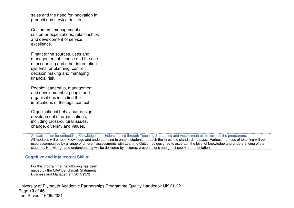| sales and the need for innovation in<br>product and service design.                                                                                                                                                                                                                                                                                                                                                                                                                                                                                                   |  |  |  |
|-----------------------------------------------------------------------------------------------------------------------------------------------------------------------------------------------------------------------------------------------------------------------------------------------------------------------------------------------------------------------------------------------------------------------------------------------------------------------------------------------------------------------------------------------------------------------|--|--|--|
| Customers: management of<br>customer expectations, relationships<br>and development of service<br>excellence.                                                                                                                                                                                                                                                                                                                                                                                                                                                         |  |  |  |
| Finance: the sources, uses and<br>management of finance and the use<br>of accounting and other information<br>systems for planning, control,<br>decision making and managing<br>financial risk.                                                                                                                                                                                                                                                                                                                                                                       |  |  |  |
| People: leadership, management<br>and development of people and<br>organisations including the<br>implications of the legal context.                                                                                                                                                                                                                                                                                                                                                                                                                                  |  |  |  |
| Organisational behaviour: design,<br>development of organisations,<br>including cross-cultural issues,<br>change, diversity and values.                                                                                                                                                                                                                                                                                                                                                                                                                               |  |  |  |
| An explanation for embedding Knowledge and Understanding through Teaching & Learning and Assessment at this level of the programme:<br>All modules will embed knowledge and understanding to enable students to reach the threshold standards to pass. Various methods of teaching will be<br>used accompanied by a range of different assessments with Learning Outcomes designed to ascertain the level of knowledge and understanding of the<br>students. Knowledge and understanding will be delivered by lectures, presentations and guest speaker presentations |  |  |  |
| <b>Cognitive and Intellectual Skills:</b>                                                                                                                                                                                                                                                                                                                                                                                                                                                                                                                             |  |  |  |
| For this programme the following has been<br>guided by the QAA Benchmark Statement in<br>Business and Management 2015 (3.9)                                                                                                                                                                                                                                                                                                                                                                                                                                           |  |  |  |

University of Plymouth Academic Partnerships Programme Quality Handbook UK 21-22 Page **13** of **46** Last Saved: 16/09/2021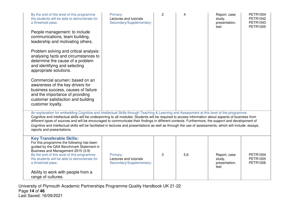| By the end of this level of this programme<br>the students will be able to demonstrate for<br>a threshold pass:<br>People management: to include<br>communications, team building,<br>leadership and motivating others.                                                                                                                                                                                                                                                                                                                                                                                                                              | Primary:<br>Lectures and tutorials<br>Secondary/Supplementary: | $\overline{2}$ | $\overline{4}$ | Report, case<br>study,<br>presentation,<br>test | PETR1004<br>PETR1042<br><b>PETR1043</b><br>PETR1005 |
|------------------------------------------------------------------------------------------------------------------------------------------------------------------------------------------------------------------------------------------------------------------------------------------------------------------------------------------------------------------------------------------------------------------------------------------------------------------------------------------------------------------------------------------------------------------------------------------------------------------------------------------------------|----------------------------------------------------------------|----------------|----------------|-------------------------------------------------|-----------------------------------------------------|
| Problem solving and critical analysis:<br>analysing facts and circumstances to<br>determine the cause of a problem<br>and identifying and selecting<br>appropriate solutions.                                                                                                                                                                                                                                                                                                                                                                                                                                                                        |                                                                |                |                |                                                 |                                                     |
| Commercial acumen: based on an<br>awareness of the key drivers for<br>business success, causes of failure<br>and the importance of providing<br>customer satisfaction and building<br>customer loyalty.                                                                                                                                                                                                                                                                                                                                                                                                                                              |                                                                |                |                |                                                 |                                                     |
| An explanation for embedding Cognitive and Intellectual Skills through Teaching & Learning and Assessment at this level of the programme:<br>Cognitive and intellectual skills will be underpinning to all modules. Students will be required to access information about aspects of business from<br>different types of sources and will be encouraged to communicate their findings in different contexts. Furthermore, the support and development of<br>Cognitive and intellectual skills will be facilitated in lectures and presentations as well as through the use of assessments, which will include: essays,<br>reports and presentations. |                                                                |                |                |                                                 |                                                     |
| <b>Key Transferable Skills:</b><br>For this programme the following has been<br>guided by the QAA Benchmark Statement in<br>Business and Management 2015 (3.9)<br>By the end of this level of this programme<br>the students will be able to demonstrate for<br>a threshold pass:<br>Ability to work with people from a<br>range of cultures.                                                                                                                                                                                                                                                                                                        | Primary:<br>Lectures and tutorials<br>Secondary/Supplementary: | 3              | 5,6            | Report, case<br>study,<br>presentation,<br>test | PETR1004<br>PETR1005<br><b>PETR1006</b>             |

University of Plymouth Academic Partnerships Programme Quality Handbook UK 21-22 Page **14** of **46** Last Saved: 16/09/2021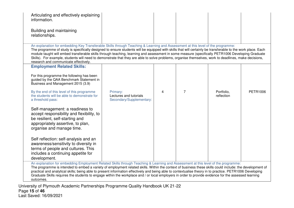| Articulating and effectively explaining<br>information.                                                                                                                                                                                                                                                                                                                                                                                                                                                                                                                                                                                               |                                                                |   |   |                          |                 |
|-------------------------------------------------------------------------------------------------------------------------------------------------------------------------------------------------------------------------------------------------------------------------------------------------------------------------------------------------------------------------------------------------------------------------------------------------------------------------------------------------------------------------------------------------------------------------------------------------------------------------------------------------------|----------------------------------------------------------------|---|---|--------------------------|-----------------|
| Building and maintaining<br>relationships.                                                                                                                                                                                                                                                                                                                                                                                                                                                                                                                                                                                                            |                                                                |   |   |                          |                 |
| An explanation for embedding Key Transferable Skills through Teaching & Learning and Assessment at this level of the programme:<br>The programme of study is specifically designed to ensure students will be equipped with skills that will certainly be transferable to the work place. Each<br>module taught will embed transferable skills through teaching, learning and assessment in some measure (specifically PETR1006 Developing Graduate<br>Skills). For example, students will need to demonstrate that they are able to solve problems, organise themselves, work to deadlines, make decisions,<br>research and communicate effectively. |                                                                |   |   |                          |                 |
| <b>Employment Related Skills:</b>                                                                                                                                                                                                                                                                                                                                                                                                                                                                                                                                                                                                                     |                                                                |   |   |                          |                 |
| For this programme the following has been<br>guided by the QAA Benchmark Statement in<br>Business and Management 2015 (3.9)                                                                                                                                                                                                                                                                                                                                                                                                                                                                                                                           |                                                                |   |   |                          |                 |
| By the end of this level of this programme<br>the students will be able to demonstrate for<br>a threshold pass:                                                                                                                                                                                                                                                                                                                                                                                                                                                                                                                                       | Primary:<br>Lectures and tutorials<br>Secondary/Supplementary: | 4 | 7 | Portfolio,<br>reflection | <b>PETR1006</b> |
| Self-management: a readiness to<br>accept responsibility and flexibility, to<br>be resilient, self-starting and<br>appropriately assertive, to plan,<br>organise and manage time.                                                                                                                                                                                                                                                                                                                                                                                                                                                                     |                                                                |   |   |                          |                 |
| Self reflection: self-analysis and an<br>awareness/sensitivity to diversity in<br>terms of people and cultures. This<br>includes a continuing appetite for<br>development.                                                                                                                                                                                                                                                                                                                                                                                                                                                                            |                                                                |   |   |                          |                 |
| An explanation for embedding Employment Related Skills through Teaching & Learning and Assessment at this level of the programme:<br>The programme is intended to embed a variety of employment related skills. Within the context of business these skills could include: the development of<br>practical and analytical skills; being able to present information effectively and being able to contextualise theory in to practice. PETR1006 Developing<br>Graduate Skills requires the students to engage within the workplace and / or local employers in order to provide evidence for the assessed learning<br>outcomes.                       |                                                                |   |   |                          |                 |

University of Plymouth Academic Partnerships Programme Quality Handbook UK 21-22 Page **15** of **46** Last Saved: 16/09/2021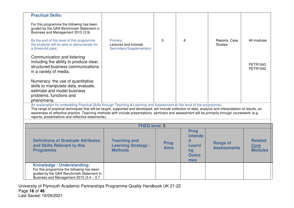| <b>Practical Skills:</b>                                                                                                                                                                                                                                                                                                                                                                                                                                                                           |                                                                     |                            |                                                                    |                                       |                                                 |
|----------------------------------------------------------------------------------------------------------------------------------------------------------------------------------------------------------------------------------------------------------------------------------------------------------------------------------------------------------------------------------------------------------------------------------------------------------------------------------------------------|---------------------------------------------------------------------|----------------------------|--------------------------------------------------------------------|---------------------------------------|-------------------------------------------------|
| For this programme the following has been<br>guided by the QAA Benchmark Statement in<br>Business and Management 2015 (3.9)<br>By the end of this level of this programme<br>the students will be able to demonstrate for<br>a threshold pass:                                                                                                                                                                                                                                                     | Primary:<br>Lectures and tutorials<br>Secondary/Supplementary:      | 5                          | 6                                                                  | Reports, Case<br><b>Studies</b>       | All modules                                     |
| Communication and listening<br>including the ability to produce clear,<br>structured business communications<br>in a variety of media.                                                                                                                                                                                                                                                                                                                                                             |                                                                     |                            |                                                                    |                                       | <b>PETR1043</b><br><b>PETR1042</b>              |
| Numeracy: the use of quantitative<br>skills to manipulate data, evaluate,<br>estimate and model business<br>problems, functions and<br>phenomena.                                                                                                                                                                                                                                                                                                                                                  |                                                                     |                            |                                                                    |                                       |                                                 |
| An explanation for embedding Practical Skills through Teaching & Learning and Assessment at this level of the programme:<br>The range of practical techniques that will be taught, supported and developed, will include collection of data, analysis and interpretation of results, an<br>awareness of reflective practice. Teaching methods with include presentations, seminars and assessment will be primarily through coursework (e.g.<br>reports, presentations and reflective statements). |                                                                     |                            |                                                                    |                                       |                                                 |
|                                                                                                                                                                                                                                                                                                                                                                                                                                                                                                    | <b>FHEQ level: 5</b>                                                |                            |                                                                    |                                       |                                                 |
| <b>Definitions of Graduate Attributes</b><br>and Skills Relevant to this<br><b>Programme</b>                                                                                                                                                                                                                                                                                                                                                                                                       | <b>Teaching and</b><br><b>Learning Strategy /</b><br><b>Methods</b> | <b>Prog</b><br><b>Aims</b> | <b>Prog</b><br>intende<br>d<br>Learni<br>ng<br><b>Outco</b><br>mes | <b>Range of</b><br><b>Assessments</b> | <b>Related</b><br><b>Core</b><br><b>Modules</b> |
| Knowledge / Understanding:<br>For this programme the following has been<br>guided by the QAA Benchmark Statement in<br>Business and Management 2015 (3.4 - 3.7)                                                                                                                                                                                                                                                                                                                                    |                                                                     |                            |                                                                    |                                       |                                                 |

University of Plymouth Academic Partnerships Programme Quality Handbook UK 21-22 Page **16** of **46** Last Saved: 16/09/2021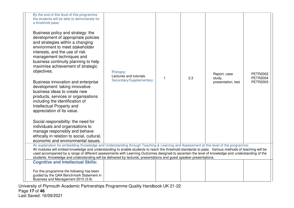| By the end of this level of this programme<br>the students will be able to demonstrate for<br>a threshold pass:<br>Business policy and strategy: the<br>development of appropriate policies<br>and strategies within a changing<br>environment to meet stakeholder<br>interests, and the use of risk<br>management techniques and<br>business continuity planning to help<br>maximise achievement of strategic<br>objectives.<br>Business innovation and enterprise<br>development: taking innovative<br>business ideas to create new<br>products, services or organisations<br>including the identification of<br>Intellectual Property and<br>appreciation of its value. | Primary:<br>Lectures and tutorials<br>Secondary/Supplementary: | 1 | 2,3 | Report, case<br>study,<br>presentation, test | <b>PETR2002</b><br><b>PETR2004</b><br><b>PETR2003</b> |
|----------------------------------------------------------------------------------------------------------------------------------------------------------------------------------------------------------------------------------------------------------------------------------------------------------------------------------------------------------------------------------------------------------------------------------------------------------------------------------------------------------------------------------------------------------------------------------------------------------------------------------------------------------------------------|----------------------------------------------------------------|---|-----|----------------------------------------------|-------------------------------------------------------|
| Social responsibility: the need for<br>individuals and organisations to<br>manage responsibly and behave<br>ethically in relation to social, cultural,<br>economic and environmental issues.                                                                                                                                                                                                                                                                                                                                                                                                                                                                               |                                                                |   |     |                                              |                                                       |
|                                                                                                                                                                                                                                                                                                                                                                                                                                                                                                                                                                                                                                                                            |                                                                |   |     |                                              |                                                       |
| An explanation for embedding Knowledge and Understanding through Teaching & Learning and Assessment at this level of the programme:<br>All modules will embed knowledge and understanding to enable students to reach the threshold standards to pass. Various methods of teaching will be                                                                                                                                                                                                                                                                                                                                                                                 |                                                                |   |     |                                              |                                                       |
| used accompanied by a range of different assessments with Learning Outcomes designed to ascertain the level of knowledge and understanding of the                                                                                                                                                                                                                                                                                                                                                                                                                                                                                                                          |                                                                |   |     |                                              |                                                       |
| students. Knowledge and understanding will be delivered by lectures, presentations and guest speaker presentations.                                                                                                                                                                                                                                                                                                                                                                                                                                                                                                                                                        |                                                                |   |     |                                              |                                                       |
| <b>Cognitive and Intellectual Skills:</b>                                                                                                                                                                                                                                                                                                                                                                                                                                                                                                                                                                                                                                  |                                                                |   |     |                                              |                                                       |
|                                                                                                                                                                                                                                                                                                                                                                                                                                                                                                                                                                                                                                                                            |                                                                |   |     |                                              |                                                       |
| For this programme the following has been                                                                                                                                                                                                                                                                                                                                                                                                                                                                                                                                                                                                                                  |                                                                |   |     |                                              |                                                       |
| guided by the QAA Benchmark Statement in                                                                                                                                                                                                                                                                                                                                                                                                                                                                                                                                                                                                                                   |                                                                |   |     |                                              |                                                       |
| Business and Management 2015 (3.9)                                                                                                                                                                                                                                                                                                                                                                                                                                                                                                                                                                                                                                         |                                                                |   |     |                                              |                                                       |

University of Plymouth Academic Partnerships Programme Quality Handbook UK 21-22 Page **17** of **46** Last Saved: 16/09/2021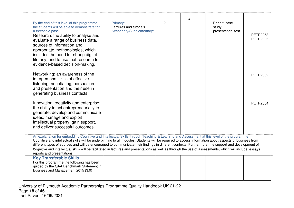| By the end of this level of this programme<br>the students will be able to demonstrate for<br>a threshold pass:<br>Research: the ability to analyse and<br>evaluate a range of business data,<br>sources of information and<br>appropriate methodologies, which<br>includes the need for strong digital<br>literacy, and to use that research for<br>evidence-based decision-making.                                                                                                                                                                                                                                                                 | Primary:<br>Lectures and tutorials<br>Secondary/Supplementary: | 2 | Report, case<br>study,<br>presentation, test | <b>PETR2053</b><br><b>PETR2005</b> |
|------------------------------------------------------------------------------------------------------------------------------------------------------------------------------------------------------------------------------------------------------------------------------------------------------------------------------------------------------------------------------------------------------------------------------------------------------------------------------------------------------------------------------------------------------------------------------------------------------------------------------------------------------|----------------------------------------------------------------|---|----------------------------------------------|------------------------------------|
| Networking: an awareness of the<br>interpersonal skills of effective<br>listening, negotiating, persuasion<br>and presentation and their use in<br>generating business contacts.                                                                                                                                                                                                                                                                                                                                                                                                                                                                     |                                                                |   |                                              | <b>PETR2002</b>                    |
| Innovation, creativity and enterprise:<br>the ability to act entrepreneurially to<br>generate, develop and communicate<br>ideas, manage and exploit<br>intellectual property, gain support,<br>and deliver successful outcomes.                                                                                                                                                                                                                                                                                                                                                                                                                      |                                                                |   |                                              | <b>PETR2004</b>                    |
| An explanation for embedding Cognitive and Intellectual Skills through Teaching & Learning and Assessment at this level of the programme:<br>Cognitive and intellectual skills will be underpinning to all modules. Students will be required to access information about aspects of business from<br>different types of sources and will be encouraged to communicate their findings in different contexts. Furthermore, the support and development of<br>Cognitive and intellectual skills will be facilitated in lectures and presentations as well as through the use of assessments, which will include: essays,<br>reports and presentations. |                                                                |   |                                              |                                    |
| <b>Key Transferable Skills:</b><br>For this programme the following has been<br>guided by the QAA Benchmark Statement in<br>Business and Management 2015 (3.9)                                                                                                                                                                                                                                                                                                                                                                                                                                                                                       |                                                                |   |                                              |                                    |

University of Plymouth Academic Partnerships Programme Quality Handbook UK 21-22 Page **18** of **46** Last Saved: 16/09/2021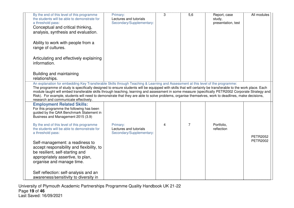| By the end of this level of this programme<br>the students will be able to demonstrate for<br>a threshold pass:<br>Conceptual and critical thinking,<br>analysis, synthesis and evaluation.<br>Ability to work with people from a                                                                                                                                                                                                                                                                                                                                                                                                                      | Primary:<br>Lectures and tutorials<br>Secondary/Supplementary: | 3 | 5,6            | Report, case<br>study,<br>presentation, test | All modules     |  |
|--------------------------------------------------------------------------------------------------------------------------------------------------------------------------------------------------------------------------------------------------------------------------------------------------------------------------------------------------------------------------------------------------------------------------------------------------------------------------------------------------------------------------------------------------------------------------------------------------------------------------------------------------------|----------------------------------------------------------------|---|----------------|----------------------------------------------|-----------------|--|
| range of cultures.<br>Articulating and effectively explaining<br>information.<br>Building and maintaining<br>relationships.                                                                                                                                                                                                                                                                                                                                                                                                                                                                                                                            |                                                                |   |                |                                              |                 |  |
| An explanation for embedding Key Transferable Skills through Teaching & Learning and Assessment at this level of the programme:<br>The programme of study is specifically designed to ensure students will be equipped with skills that will certainly be transferable to the work place. Each<br>module taught will embed transferable skills through teaching, learning and assessment in some measure (specifically PETR2002 Corporate Strategy and<br>Risk). For example, students will need to demonstrate that they are able to solve problems, organise themselves, work to deadlines, make decisions,<br>research and communicate effectively. |                                                                |   |                |                                              |                 |  |
| <b>Employment Related Skills:</b><br>For this programme the following has been<br>guided by the QAA Benchmark Statement in<br>Business and Management 2015 (3.9)<br>By the end of this level of this programme<br>the students will be able to demonstrate for<br>a threshold pass:                                                                                                                                                                                                                                                                                                                                                                    | Primary:<br>Lectures and tutorials<br>Secondary/Supplementary: |   | $\overline{7}$ | Portfolio,<br>reflection                     | <b>PETR2052</b> |  |
| Self-management: a readiness to<br>accept responsibility and flexibility, to<br>be resilient, self-starting and<br>appropriately assertive, to plan,<br>organise and manage time.                                                                                                                                                                                                                                                                                                                                                                                                                                                                      |                                                                |   |                |                                              | <b>PETR2002</b> |  |
| Self reflection: self-analysis and an<br>awareness/sensitivity to diversity in                                                                                                                                                                                                                                                                                                                                                                                                                                                                                                                                                                         |                                                                |   |                |                                              |                 |  |

University of Plymouth Academic Partnerships Programme Quality Handbook UK 21-22 Page **19** of **46** Last Saved: 16/09/2021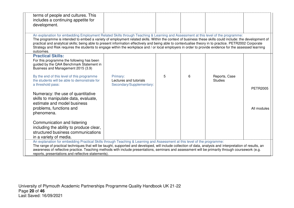| terms of people and cultures. This<br>includes a continuing appetite for<br>development.                                                                                                                                                                                                                                                                                                                                                                                                                                                                                                                                         |                                                                |   |   |                                 |                 |
|----------------------------------------------------------------------------------------------------------------------------------------------------------------------------------------------------------------------------------------------------------------------------------------------------------------------------------------------------------------------------------------------------------------------------------------------------------------------------------------------------------------------------------------------------------------------------------------------------------------------------------|----------------------------------------------------------------|---|---|---------------------------------|-----------------|
| An explanation for embedding Employment Related Skills through Teaching & Learning and Assessment at this level of the programme:<br>The programme is intended to embed a variety of employment related skills. Within the context of business these skills could include: the development of<br>practical and analytical skills; being able to present information effectively and being able to contextualise theory in to practice. PETR2002 Corporate<br>Strategy and Risk requires the students to engage within the workplace and / or local employers in order to provide evidence for the assessed learning<br>outcomes. |                                                                |   |   |                                 |                 |
| <b>Practical Skills:</b><br>For this programme the following has been<br>guided by the QAA Benchmark Statement in<br>Business and Management 2015 (3.9)                                                                                                                                                                                                                                                                                                                                                                                                                                                                          |                                                                |   |   |                                 |                 |
| By the end of this level of this programme<br>the students will be able to demonstrate for<br>a threshold pass:                                                                                                                                                                                                                                                                                                                                                                                                                                                                                                                  | Primary:<br>Lectures and tutorials<br>Secondary/Supplementary: | 5 | 6 | Reports, Case<br><b>Studies</b> | <b>PETR2005</b> |
| Numeracy: the use of quantitative<br>skills to manipulate data, evaluate,<br>estimate and model business<br>problems, functions and                                                                                                                                                                                                                                                                                                                                                                                                                                                                                              |                                                                |   |   |                                 | All modules     |
| phenomena.                                                                                                                                                                                                                                                                                                                                                                                                                                                                                                                                                                                                                       |                                                                |   |   |                                 |                 |
| Communication and listening<br>including the ability to produce clear,<br>structured business communications<br>in a variety of media.                                                                                                                                                                                                                                                                                                                                                                                                                                                                                           |                                                                |   |   |                                 |                 |
| An explanation for embedding Practical Skills through Teaching & Learning and Assessment at this level of the programme:<br>The range of practical techniques that will be taught, supported and developed, will include collection of data, analysis and interpretation of results, an<br>awareness of reflective practice. Teaching methods with include presentations, seminars and assessment will be primarily through coursework (e.g.<br>reports, presentations and reflective statements).                                                                                                                               |                                                                |   |   |                                 |                 |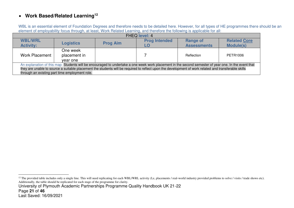# • **Work Based/Related Learning<sup>12</sup>**

WBL is an essential element of Foundation Degrees and therefore needs to be detailed here. However, for all types of HE programmes there should be an element of employability focus through, at least, Work Related Learning, and therefore the following is applicable for all:

| <b>FHEQ level: 4</b>                                                                                                                                                                                                                                                                                                                                           |                                      |                 |                      |                    |                     |  |
|----------------------------------------------------------------------------------------------------------------------------------------------------------------------------------------------------------------------------------------------------------------------------------------------------------------------------------------------------------------|--------------------------------------|-----------------|----------------------|--------------------|---------------------|--|
| <b>WBL/WRL</b>                                                                                                                                                                                                                                                                                                                                                 | <b>Logistics</b>                     | <b>Prog Aim</b> | <b>Prog Intended</b> | <b>Range of</b>    | <b>Related Core</b> |  |
| <b>Activity:</b>                                                                                                                                                                                                                                                                                                                                               |                                      |                 |                      | <b>Assessments</b> | <b>Module(s)</b>    |  |
| <b>Work Placement</b>                                                                                                                                                                                                                                                                                                                                          | One week<br>placement in<br>vear one |                 |                      | Reflection         | PETR1006            |  |
| An explanation of this map: Students will be encouraged to undertake a one week work placement in the second semester of year one. In the event that<br>they are unable to source a suitable placement the students will be required to reflect upon the development of work related and transferable skills<br>through an existing part time employment role. |                                      |                 |                      |                    |                     |  |

University of Plymouth Academic Partnerships Programme Quality Handbook UK 21-22 Page **21** of **46** Last Saved: 16/09/2021

 $\overline{a}$ <sup>12</sup> The provided table includes only a single line. This will need replicating for each WBL/WRL activity (I,e, placements / real-world industry provided problems to solve / visits / trade shows etc). Additionally, the table should be replicated for each stage of the programme for clarity.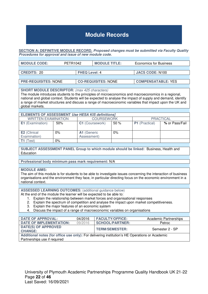# <span id="page-21-0"></span>**Module Records**

**SECTION A: DEFINITIVE MODULE RECORD. Proposed changes must be submitted via Faculty Quality Procedures for approval and issue of new module code.**

| <b>I MODULE CODE:</b>       | PETR <sub>1042</sub> | <b>MODULE TITLE:</b>       | <b>Economics for Business</b> |
|-----------------------------|----------------------|----------------------------|-------------------------------|
|                             |                      |                            |                               |
| <b>CREDITS: 20</b>          | <b>FHEQ Level: 4</b> |                            | <b>JACS CODE: N100</b>        |
|                             |                      |                            |                               |
| <b>PRE-REQUISITES: NONE</b> |                      | <b>CO-REQUISITES: NONE</b> | <b>COMPENSATABLE: YES</b>     |

#### **SHORT MODULE DESCRIPTOR:** *(max 425 characters)*

The module introduces students to the principles of microeconomics and macroeconomics in a regional, national and global context. Students will be expected to analyse the impact of supply and demand, identify a range of market structures and discuss a range of macroeconomic variables that impact upon the UK and global markets.

| <b>ELEMENTS OF ASSESSMENT Use HESA KIS definitions]</b> |       |                               |       |                  |                |  |
|---------------------------------------------------------|-------|-------------------------------|-------|------------------|----------------|--|
| <b>WRITTEN EXAMINATION</b>                              |       | <b>COURSEWORK</b>             |       | <b>PRACTICAL</b> |                |  |
| <b>E1</b> (Examination)                                 | 50%   | <b>C1</b> (Coursework)<br>50% |       | P1 (Practical)   | % or Pass/Fail |  |
|                                                         |       |                               |       |                  |                |  |
| <b>E2</b> (Clinical                                     | 0%    | A1 (Generic                   | $0\%$ |                  |                |  |
| Examination)                                            |       | Assessment)                   |       |                  |                |  |
| [1 (Test)                                               | $0\%$ |                               |       |                  |                |  |

#### **SUBJECT ASSESSMENT PANEL Group to which module should be linked:** Business, Health and Education

**Professional body minimum pass mark requirement:** N/A

#### **MODULE AIMS:**

The aim of this module is for students to be able to investigate issues concerning the interaction of business organisations and the environment they face, in particular directing focus on the economic environment in a national context.

**ASSESSED LEARNING OUTCOMES:** (additional guidance below)

- At the end of the module the learner will be expected to be able to:
	- 1. Explain the relationship between market forces and organisational responses
	- 2. Explain the spectrum of competition and analyse the impact upon market competitiveness.
	- 3. Explain the major features of an economic system
	- 4. Discuss the impact of a range of macroeconomic variables on organisations

| <b>DATE OF APPROVAL:</b>                                                                       | 04/2016 | <b>FACULTY/OFFICE:</b> | <b>Academic Partnerships</b> |  |  |
|------------------------------------------------------------------------------------------------|---------|------------------------|------------------------------|--|--|
| <b>DATE OF IMPLEMENTATION:</b>                                                                 | 09/2016 | <b>SCHOOL/PARTNER:</b> | Petroc                       |  |  |
| <b>DATE(S) OF APPROVED</b><br><b>CHANGE:</b>                                                   |         | <b>TERM/SEMESTER:</b>  | Semester 2 - SP              |  |  |
| Additional notes (for office use only): For delivering institution's HE Operations or Academic |         |                        |                              |  |  |
| Partnerships use if required                                                                   |         |                        |                              |  |  |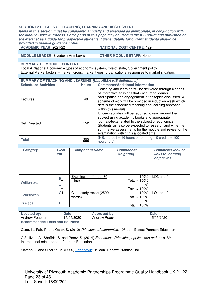**Items in this section must be considered annually and amended as appropriate, in conjunction with the Module Review Process. Some parts of this page may be used in the KIS return and published on the extranet as a guide for prospective students. Further details for current students should be** 

**provided in module guidance notes. NATIONAL COST CENTRE: 129** 

**MODULE LEADER: Elizabeth-Ann Lewis | OTHER MODULE STAFF: None** 

**SUMMARY OF MODULE CONTENT**

Local & National Economy – types of economic system, role of state, Government policy. External Market factors – market forces, market types, organisational responses to market situation.

| SUMMARY OF TEACHING AND LEARNING [Use HESA KIS definitions] |              |                                                                                                                                                                                                                                                                                                                             |  |
|-------------------------------------------------------------|--------------|-----------------------------------------------------------------------------------------------------------------------------------------------------------------------------------------------------------------------------------------------------------------------------------------------------------------------------|--|
| <b>Scheduled Activities</b>                                 | <b>Hours</b> | <b>Comments/Additional Information</b>                                                                                                                                                                                                                                                                                      |  |
| Lectures                                                    | 48           | Teaching and learning will be delivered through a series<br>of interactive sessions that encourage learner<br>participation and engagement in the topics discussed. A<br>scheme of work will be provided in induction week which<br>details the scheduled teaching and learning approach<br>within this module.             |  |
| Self Directed                                               | 152          | Undergraduates will be required to read around the<br>subject using academic books and appropriate<br>journals/texts related to the subject of economics.<br>Students will also be expected to research and write the<br>summative assessments for the module and revise for the<br>examination within this allocated time. |  |
| <b>Total</b>                                                | 200          | (NB: 1 credit = 10 hours or learning; 10 credits = $100$<br>hours, etc)                                                                                                                                                                                                                                                     |  |

| Category     | <b>Elem</b><br>ent | <b>Component Name</b>             | <b>Component</b><br>Weighting    | <b>Comments include</b><br>links to learning<br>objectives |
|--------------|--------------------|-----------------------------------|----------------------------------|------------------------------------------------------------|
| Written exam | $E_{-}$            | Examination (1 hour 30<br>mins)   | 100%<br>Total = $100\%$          | $LO3$ and 4                                                |
|              | $T_{\perp}$        |                                   | $\frac{1}{2}$<br>Total = $100\%$ |                                                            |
| Coursework   | C <sub>1</sub>     | Case study report (2500<br>words) | 100%<br>Total = $100\%$          | LO1 and 2                                                  |
| Practical    | P                  |                                   | $\frac{1}{2}$<br>Total = $100\%$ |                                                            |

| <b>Updated by:</b>                    | Date:      | Approved by:   | Date:      |  |  |
|---------------------------------------|------------|----------------|------------|--|--|
| Andrew Peacham                        | 15/05/2020 | Andrew Peacham | 15/05/2020 |  |  |
| <b>Pecommended Texts and Courses:</b> |            |                |            |  |  |

**Recommended Texts and Sources:** 

Case, K., Fair, R. and Oster, S. (2012) *Principles of economics*. 10th edn. Essex: Pearson Education

O'Sullivan, A., Sheffrin, S. and Perez, S. (2014) *Economics: Principles, applications and tools.* 8th International edn. London: Pearson Education

Sloman, J. and Sutcliffe, M. (2000) *[Economics](https://oncampus.petroc.ac.uk/olibcgi/w21.sh?oid=31980&rs=20986&hitno=13)*. 4<sup>th</sup> edn. Harlow: Prentice Hall.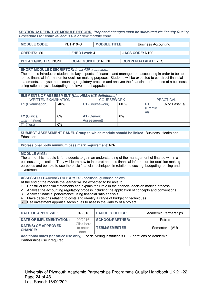| <b>MODULE CODE:</b>         | PETR1043                   | <b>MODULE TITLE:</b> | <b>Business Accounting</b> |
|-----------------------------|----------------------------|----------------------|----------------------------|
|                             |                            |                      |                            |
| <b>CREDITS: 20</b>          | <b>FHEQ Level: 4</b>       |                      | <b>JACS CODE: N100</b>     |
|                             |                            |                      |                            |
| <b>PRE-REQUISITES: NONE</b> | <b>CO-REQUISITES: NONE</b> |                      | <b>COMPENSATABLE: YES</b>  |

#### **SHORT MODULE DESCRIPTOR:** *(max 425 characters)*

The module introduces students to key aspects of financial and management accounting in order to be able to use financial information for decision making purposes. Students will be expected to construct financial statements, analyse the accounting regulatory process and analyse the financial performance of a business using ratio analysis, budgeting and investment appraisal.

| <b>ELEMENTS OF ASSESSMENT [Use HESA KIS definitions]</b> |       |                            |     |                       |                |  |
|----------------------------------------------------------|-------|----------------------------|-----|-----------------------|----------------|--|
| <b>WRITTEN EXAMINATION</b>                               |       | <b>COURSEWORK</b>          |     | <b>PRACTICAL</b>      |                |  |
| <b>E1</b> (Examination)                                  | 40%   | <b>C1</b> (Coursework)     | 60% | P1<br>(Practic<br>al) | % or Pass/Fail |  |
| <b>E2</b> (Clinical<br>Examination)                      | 0%    | A1 (Generic<br>Assessment) | 0%  |                       |                |  |
| $T1$ (Test)                                              | $0\%$ |                            |     |                       |                |  |

#### **SUBJECT ASSESSMENT PANEL Group to which module should be linked:** Business, Health and Education

**Professional body minimum pass mark requirement:** N/A

#### **MODULE AIMS:**

The aim of this module is for students to gain an understanding of the management of finance within a business organisation. They will learn how to interpret and use financial information for decision making purposes and be able to use the basic financial techniques in relation to costing, budgeting, pricing and investments.

**ASSESSED LEARNING OUTCOMES:** (additional guidance below)

- At the end of the module the learner will be expected to be able to:
- 1. Construct financial statements and explain their role in the financial decision making process.
- 2. Analyse the accounting regulatory process including the application of concepts and conventions.
- 3. Analyse financial performance using financial ratio analysis.
- 4. Make decisions relating to costs and identify a range of budgeting techniques.
- 5. Use investment appraisal techniques to assess the viability of a project

| <b>DATE OF APPROVAL:</b>                                                                                                       | 04/2016                         | <b>FACULTY/OFFICE:</b> | <b>Academic Partnerships</b> |  |  |
|--------------------------------------------------------------------------------------------------------------------------------|---------------------------------|------------------------|------------------------------|--|--|
| <b>DATE OF IMPLEMENTATION:</b>                                                                                                 | 09/2016                         | <b>SCHOOL/PARTNER:</b> | Petroc                       |  |  |
| <b>DATE(S) OF APPROVED</b><br><b>CHANGE:</b>                                                                                   | Click here<br>to enter<br>date. | <b>TERM/SEMESTER:</b>  | Semester 1 (AU)              |  |  |
| Additional notes (for office use only): For delivering institution's HE Operations or Academic<br>Partnerships use if required |                                 |                        |                              |  |  |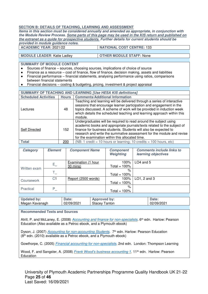**Items in this section must be considered annually and amended as appropriate, in conjunction with the Module Review Process. Some parts of this page may be used in the KIS return and published on the extranet as a guide for prospective students. Further details for current students should be** 

**provided in module guidance notes.**

**NATIONAL COST CENTRE: 133** 

#### **MODULE LEADER:** Katie Ladley **OTHER MODULE STAFF:** None

**SUMMARY OF MODULE CONTENT**

- Sources of finance sources, choosing sources, implications of choice of source
- Finance as a resource cost of finance, flow of finance, decision making, assets and liabilities
- Financial performance financial statements, analysing performance using ratios, comparisons between financial statements
- Financial decisions costing & budgeting, pricing, investment & project appraisal

|                             | SUMMARY OF TEACHING AND LEARNING [Use HESA KIS definitions] |                                                                                                                                                                                                                                                                                                                                             |  |  |  |
|-----------------------------|-------------------------------------------------------------|---------------------------------------------------------------------------------------------------------------------------------------------------------------------------------------------------------------------------------------------------------------------------------------------------------------------------------------------|--|--|--|
| <b>Scheduled Activities</b> | <b>Hours</b>                                                | <b>Comments/Additional Information</b>                                                                                                                                                                                                                                                                                                      |  |  |  |
| Lectures                    | 48                                                          | Teaching and learning will be delivered through a series of interactive<br>sessions that encourage learner participation and engagement in the<br>topics discussed. A scheme of work will be provided in induction week<br>which details the scheduled teaching and learning approach within this<br>module.                                |  |  |  |
| <b>Self Directed</b>        | 152                                                         | Undergraduates will be required to read around the subject using<br>academic books and appropriate journals/texts related to the subject of<br>finance for business students. Students will also be expected to<br>research and write the summative assessment for the module and revise<br>for the examination within this allocated time. |  |  |  |
| <b>Total</b>                | 200                                                         | (NB: 1 credit = 10 hours or learning; 10 credits = 100 hours, etc)                                                                                                                                                                                                                                                                          |  |  |  |

| Category     | <b>Element</b> | <b>Component Name</b>           | <b>Component</b><br>Weighting | <b>Comments include links to</b><br>learning objectives |
|--------------|----------------|---------------------------------|-------------------------------|---------------------------------------------------------|
| Written exam | Е_             | Examination (1 hour<br>30 mins) | 100%<br>Total = $100\%$       | $LO4$ and 5                                             |
|              |                |                                 | $\%$<br>Total = $100\%$       |                                                         |
| Coursework   | C <sub>1</sub> | Report (2500 words)             | 100%<br>Total = $100\%$       | LO1, 2 and 3                                            |
| Practical    | $P_{-}$        |                                 | $\%$<br>Total = $100\%$       |                                                         |

| <b>Updated by:</b> | Date:      | <b>Approved by:</b> | <b>Date:</b> |
|--------------------|------------|---------------------|--------------|
| Megan Kavanagh     | 02/09/2021 | Stacey<br>Tanton    | 02/09/2021   |
|                    |            |                     |              |

**Recommended Texts and Sources** 

Atrill, P. and McLaney, E. (2008) *[Accounting and finance for non-specialists.](http://10.0.1.120:8888/olibcgi?session=75467565&infile=details.glu&loid=77725&rs=25989&hitno=1)* 6th edn. Harlow: Pearson Education (Also available as a Petroc ebook, and a Plymouth ebook)

Dyson, J. (2007) *[Accounting for non-accounting Students](http://10.0.1.120:8888/olibcgi?session=79191107&infile=details.glu&loid=66902&rs=84329&hitno=2)*. 7<sup>th</sup> edn. Harlow: Pearson Education (8th edn. (2010) available as a Petroc ebook, and a Plymouth ebook)

Gowthorpe, C. (2005) *[Financial accounting for non-specialists.](http://10.0.1.120:8888/olibcgi?session=40354782&infile=details.glu&loid=39218&rs=84327&hitno=1)* 2nd edn. London: Thompson Learning

Wood, F. and Sangster, A. (2008) *[Frank Wood's business accounting 1](https://oncampus.ndevon.ac.uk/olibcgi?session=90127746&infile=details.glu&loid=77745&rs=26006&hitno=1)*. 11th edn. Harlow: Pearson **Education** 

University of Plymouth Academic Partnerships Programme Quality Handbook UK 21-22 Page **25** of **46** Last Saved: 16/09/2021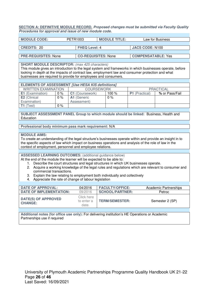| <b>MODULE CODE:</b>         | PETR1003                   | <b>MODULE TITLE:</b> | Law for Business          |
|-----------------------------|----------------------------|----------------------|---------------------------|
|                             |                            |                      |                           |
|                             |                            |                      |                           |
| <b>CREDITS: 20</b>          | <b>FHEQ Level: 4</b>       |                      | <b>JACS CODE: N100</b>    |
|                             |                            |                      |                           |
|                             |                            |                      |                           |
| <b>PRE-REQUISITES: None</b> | <b>CO-REQUISITES: None</b> |                      | <b>COMPENSATABLE: Yes</b> |
|                             |                            |                      |                           |
|                             |                            |                      |                           |

**SHORT MODULE DESCRIPTOR:** *(max 425 characters)*

This module gives an introduction to the legal system and frameworks in which businesses operate, before looking in depth at the impacts of contract law, employment law and consumer protection and what businesses are required to provide for employees and consumers.

| <b>ELEMENTS OF ASSESSMENT [Use HESA KIS definitions]</b>     |       |                        |         |                |                |  |  |
|--------------------------------------------------------------|-------|------------------------|---------|----------------|----------------|--|--|
| <b>WRITTEN EXAMINATION</b><br><b>COURSEWORK</b><br>PRACTICAL |       |                        |         |                |                |  |  |
| <b>E1</b> (Examination)                                      | $0\%$ | <b>C1</b> (Coursework) | 100 $%$ | P1 (Practical) | % or Pass/Fail |  |  |
| <b>E2</b> (Clinical                                          | $0\%$ | A1 (Generic            | $0\%$   |                |                |  |  |
| Examination)                                                 |       | Assessment)            |         |                |                |  |  |
| <b>T1</b> (Test)                                             | 0%    |                        |         |                |                |  |  |

**SUBJECT ASSESSMENT PANEL Group to which module should be linked:** Business, Health and **Education** 

**Professional body minimum pass mark requirement:** N/A

**MODULE AIMS:** 

To create an understanding of the legal structure's businesses operate within and provide an insight in to the specific aspects of law which impact on business operations and analysis of the role of law in the context of employment, personnel and employee relations.

**ASSESSED LEARNING OUTCOMES:** (additional guidance below)

At the end of the module the learner will be expected to be able to:

- 1. Describe the court structures and legal structures in which UK businesses operate.
- 2. Acquire a working knowledge of the legal rules and regulations which are relevant to consumer and commercial transactions.
- 3. Explain the law relating to employment both individually and collectively
- 4. Appreciate the rate of change of labour legislation

| <b>DATE OF APPROVAL:</b>                     | 04/2016                           | <b>FACULTY/OFFICE:</b> | <b>Academic Partnerships</b> |
|----------------------------------------------|-----------------------------------|------------------------|------------------------------|
| <b>DATE OF IMPLEMENTATION:</b>               | 09/2016                           | <b>SCHOOL/PARTNER:</b> | Petroc                       |
| <b>DATE(S) OF APPROVED</b><br><b>CHANGE:</b> | Click here<br>to enter a<br>date. | <b>TERM/SEMESTER:</b>  | Semester 2 (SP)              |
|                                              |                                   |                        |                              |

**Additional notes (for office use only):** For delivering institution's HE Operations or Academic Partnerships use if required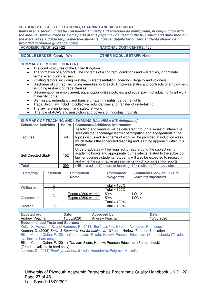**Items in this section must be considered annually and amended as appropriate, in conjunction with the Module Review Process. Some parts of this page may be used in the KIS return and published on the extranet as a guide for prospective students. Further details for current students should be** 

**provided in module guidance notes.**

**NATIONAL COST CENTRE: 130** 

#### **MODULE LEADER:** Carolyn White **OTHER MODULE STAFF:** None

**SUMMARY OF MODULE CONTENT**

- The court structures of the United Kingdom.
- The formation of a contract. The contents of a contract, conditions and warranties, innominate terms, exemption clauses**.**
- Vitiating factors, including mistake, misrepresentation, coercion, illegality and voidness.
- Discharge of contract, including remedies for breach**.** Employee status and contracts of employment including restraint of trade clauses.
- Discrimination in employment, equal opportunities policies, and equal pay. Individual rights art work, maternity rights.
- Dismissals, redundancy and transfer, maternity rights, part-time rights
- Trade Union law including collective redundancies and transfer of undertaking
- The law relating to health and safety at work.
- The role of ACAS and jurisdiction and powers of industrial tribunals.

| SUMMARY OF TEACHING AND LEARNING [Use HESA KIS definitions] |       |                                                                                                                                                                                                                                                                                                              |  |  |
|-------------------------------------------------------------|-------|--------------------------------------------------------------------------------------------------------------------------------------------------------------------------------------------------------------------------------------------------------------------------------------------------------------|--|--|
| <b>Scheduled Activities</b>                                 | Hours | <b>Comments/Additional Information</b>                                                                                                                                                                                                                                                                       |  |  |
| Lectures                                                    | 48    | Teaching and learning will be delivered through a series of interactive<br>sessions that encourage learner participation and engagement in the<br>topics discussed. A scheme of work will be provided in induction week<br>which details the scheduled teaching and learning approach within this<br>module. |  |  |
| <b>Self Directed Study</b>                                  | 152   | Undergraduates will be required to read around the subject using<br>academic books and appropriate journals/texts related to the subject of<br>law for business students. Students will also be expected to research<br>and write the summative assessments which comprise two reports.                      |  |  |
| <b>Total</b>                                                | 200   | (NB: 1 credit = 10 hours or learning; 10 credits = 100 hours, etc)                                                                                                                                                                                                                                           |  |  |

| Category     | <b>Element</b> | <b>Component</b><br><b>Name</b> | <b>Component</b><br>Weighting | <b>Comments include links to</b><br>learning objectives |
|--------------|----------------|---------------------------------|-------------------------------|---------------------------------------------------------|
|              |                |                                 | Total = $100\%$               |                                                         |
| Written exam |                |                                 | Total = $100\%$               |                                                         |
|              | C <sub>1</sub> | Report (2500 words)             | 50%                           | LO1-2                                                   |
| Coursework   |                | Report (2500 words)             | 50%                           | $LO3-4$                                                 |
|              |                |                                 | Total = $100\%$               |                                                         |
| Practical    |                |                                 | Total = $100\%$               |                                                         |

| <b>Updated by:</b>                                                                             | Date:      | <b>Approved by:</b>                                                                                                                | Date:      |  |  |  |
|------------------------------------------------------------------------------------------------|------------|------------------------------------------------------------------------------------------------------------------------------------|------------|--|--|--|
| Andrew Peacham                                                                                 | 15/05/2020 | Andrew Peacham                                                                                                                     | 15/05/2020 |  |  |  |
| <b>Recommended Texts and Sources:</b>                                                          |            |                                                                                                                                    |            |  |  |  |
|                                                                                                |            | Kelly, D., Hayward, R. and Hammer, R. (2011) Business law. 6 <sup>th</sup> edn. Abingdon: Routledge                                |            |  |  |  |
|                                                                                                |            | Keenan, D. (2006) Smith & Keenan's law for business. 13th edn. Harlow: Pearson Education                                           |            |  |  |  |
|                                                                                                |            | Elliott, C. and Quinn, F. (2011) Contract law. 8 <sup>th</sup> edn. Harlow: Pearson Education (Petroc ebook) (7 <sup>th</sup> edn. |            |  |  |  |
| available in hard copy)                                                                        |            |                                                                                                                                    |            |  |  |  |
| Elliott, C. and Quinn, F. (2011) Tort law. 8 edn. Harlow: Pearson Education (Petroc ebook)     |            |                                                                                                                                    |            |  |  |  |
| (7 <sup>th</sup> edn. available in hard copy)                                                  |            |                                                                                                                                    |            |  |  |  |
| Lockton, D. (2011) <i>Employment law</i> . 8 <sup>th</sup> edn. Houndmills: Palgrave Macmillan |            |                                                                                                                                    |            |  |  |  |
|                                                                                                |            |                                                                                                                                    |            |  |  |  |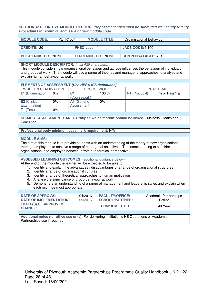| <b>MODULE CODE:</b><br>PETR1004 | <b>MODULE TITLE:</b>       | Organisational Behaviour  |
|---------------------------------|----------------------------|---------------------------|
|                                 |                            |                           |
| CREDITS: 20                     | <b>FHEQ Level: 4</b>       | <b>JACS CODE: N100</b>    |
|                                 |                            |                           |
| <b>PRE-REQUISITES: NONE</b>     | <b>CO-REQUISITES: NONE</b> | <b>COMPENSATABLE: YES</b> |

**SHORT MODULE DESCRIPTOR:** *(max 425 characters)*

This module considers how organisational behaviour and attitude influences the behaviour of individuals and groups at work. The module will use a range of theories and managerial approaches to analyse and explain human behaviour at work.

| <b>ELEMENTS OF ASSESSMENT [Use HESA KIS definitions]</b> |       |                   |          |                       |                |  |  |
|----------------------------------------------------------|-------|-------------------|----------|-----------------------|----------------|--|--|
| <b>WRITTEN EXAMINATION</b>                               |       | <b>COURSEWORK</b> |          | <b>PRACTICAL</b>      |                |  |  |
| <b>E1</b> (Examination)                                  | $0\%$ | С1                | 100 $\%$ | <b>P1</b> (Practical) | % or Pass/Fail |  |  |
|                                                          |       | (Coursework)      |          |                       |                |  |  |
| <b>E2</b> (Clinical                                      | $0\%$ | A1 (Generic       | $0\%$    |                       |                |  |  |
| Examination)                                             |       | Assessment)       |          |                       |                |  |  |
| $T1$ (Test)                                              | 0%    |                   |          |                       |                |  |  |

**SUBJECT ASSESSMENT PANEL Group to which module should be linked:** Business, Health and Education

**Professional body minimum pass mark requirement:** N/A

**MODULE AIMS:** 

The aim of this module is to provide students with an understanding of the theory of how organisations manage employees to achieve a range of managerial objectives. The intention being to consider organisational and employee behaviour from a theoretical perspective.

**ASSESSED LEARNING OUTCOMES:** (additional guidance below)

- At the end of the module the learner will be expected to be able to:
	- 1. Identify and explain the advantages / disadvantages of a range of organisational structures
	- 2. Identify a range of organisational cultures
	- 3. Identify a range of theoretical approaches to human motivation
	- 4. Analyse the significance of group behaviour at work
	- 5. Demonstrate an understanding of a range of management and leadership styles and explain when each might be most appropriate.

| <b>DATE OF APPROVAL:</b>                      | 04/2016 | <b>FACULTY/OFFICE:</b> | Academic Partnerships |
|-----------------------------------------------|---------|------------------------|-----------------------|
| <b>DATE OF IMPLEMENTATION:</b>                | 09/2016 | <b>SCHOOL/PARTNER:</b> | Petroc                |
| <b>CDATE(S) OF APPROVED</b><br><b>CHANGE:</b> |         | <b>TERM/SEMESTER:</b>  | All Year              |
|                                               |         |                        |                       |

**Additional notes (for office use only):** For delivering institution's HE Operations or Academic Partnerships use if required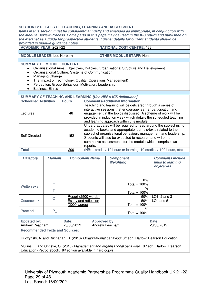**Items in this section must be considered annually and amended as appropriate, in conjunction with the Module Review Process. Some parts of this page may be used in the KIS return and published on the extranet as a guide for prospective students. Further details for current students should be** 

**provided in module guidance notes.**

**NATIONAL COST CENTRE: 133** 

**MODULE LEADER: Lee Norburn COTHER MODULE STAFF: None** 

**SUMMARY OF MODULE CONTENT**

- Organisational Aims, Objectives, Policies, Organisational Structure and Development
- Organisational Culture. Systems of Communication<br>• Managing Change
- **Managing Change**
- The Impact of Technology. Quality (Operations Management)
- Perception, Group Behaviour, Motivation, Leadership
- Business Ethics

| SUMMARY OF TEACHING AND LEARNING [Use HESA KIS definitions] |              |                                                                                                                                                                                                                                                                                                                                        |  |  |
|-------------------------------------------------------------|--------------|----------------------------------------------------------------------------------------------------------------------------------------------------------------------------------------------------------------------------------------------------------------------------------------------------------------------------------------|--|--|
| <b>Scheduled Activities</b>                                 | <b>Hours</b> | <b>Comments/Additional Information</b>                                                                                                                                                                                                                                                                                                 |  |  |
| Lectures                                                    | 48           | Teaching and learning will be delivered through a series of<br>interactive sessions that encourage learner participation and<br>engagement in the topics discussed. A scheme of work will be<br>provided in induction week which details the scheduled teaching<br>and learning approach within this module.                           |  |  |
| <b>Self Directed</b>                                        | 152          | Undergraduates will be required to read around the subject using<br>academic books and appropriate journals/texts related to the<br>subject of organisational behaviour, management and leadership.<br>Students will also be expected to research and write the<br>summative assessments for the module which comprise two<br>reports. |  |  |
| <b>Total</b>                                                | 200          | (NB: 1 credit = 10 hours or learning; 10 credits = 100 hours, etc)                                                                                                                                                                                                                                                                     |  |  |

| Category     | <b>Element</b> | <b>Component Name</b>                                       | <b>Component</b><br>Weighting | <b>Comments include</b><br>links to learning<br>objectives |
|--------------|----------------|-------------------------------------------------------------|-------------------------------|------------------------------------------------------------|
| Written exam | $E_{\perp}$    |                                                             | $0\%$<br>Total = $100\%$      |                                                            |
|              | $T_{\perp}$    |                                                             | $\%$<br>Total = $100\%$       |                                                            |
| Coursework   | C <sub>1</sub> | Report (2500 words)<br>Essay and reflection<br>(2000 words) | 50%<br>50%<br>Total = $100\%$ | LO1, 2 and 3<br>$LO4$ and 5                                |
| Practical    | $P_{-}$        |                                                             | $\%$<br>Total = $100\%$       |                                                            |

| <b>Updated by:</b>                                                                                                | Date:      | <b>Approved by:</b> | Date:      |  |  |
|-------------------------------------------------------------------------------------------------------------------|------------|---------------------|------------|--|--|
| Andrew Peacham                                                                                                    | 28/08/2019 | Andrew Peacham      | 28/08/2019 |  |  |
| <b>Recommended Texts and Sources:</b>                                                                             |            |                     |            |  |  |
|                                                                                                                   |            |                     |            |  |  |
| Huczynski, A. and Buchanan, D. (2013) Organizational behaviour 8th edn. Harlow: Pearson Education                 |            |                     |            |  |  |
|                                                                                                                   |            |                     |            |  |  |
| Mullins, L. and Christie, G. (2010) Management and organisational behaviour. 9 <sup>th</sup> edn. Harlow: Pearson |            |                     |            |  |  |
| Education (Petroc ebook. 8 <sup>th</sup> edition available in hard copy)                                          |            |                     |            |  |  |

University of Plymouth Academic Partnerships Programme Quality Handbook UK 21-22 Page **29** of **46** Last Saved: 16/09/2021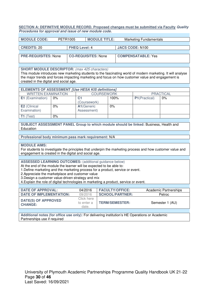| <b>MODULE CODE:</b>         | <b>PETR1005</b>      | <b>MODULE TITLE:</b>       | <b>Marketing Fundamentals</b> |  |
|-----------------------------|----------------------|----------------------------|-------------------------------|--|
|                             |                      |                            |                               |  |
| <b>CREDITS: 20</b>          | <b>FHEQ Level: 4</b> |                            | <b>JACS CODE: N100</b>        |  |
|                             |                      |                            |                               |  |
| <b>PRE-REQUISITES: None</b> |                      | <b>CO-REQUISITES: None</b> | <b>COMPENSATABLE: Yes</b>     |  |
|                             |                      |                            |                               |  |

**SHORT MODULE DESCRIPTOR:** *(max 425 characters)*

This module introduces new marketing students to the fascinating world of modern marketing. It will analyse the major trends and forces impacting marketing and focus on how customer value and engagement is created in the digital and social age.

|                            | <b>ELEMENTS OF ASSESSMENT [Use HESA KIS definitions]</b> |                   |      |                  |       |  |  |
|----------------------------|----------------------------------------------------------|-------------------|------|------------------|-------|--|--|
| <b>WRITTEN EXAMINATION</b> |                                                          | <b>COURSEWORK</b> |      | <b>PRACTICAL</b> |       |  |  |
| <b>E1</b> (Examination)    | $0\%$                                                    | C <sub>1</sub>    | 100% | P1(Practical)    | $0\%$ |  |  |
|                            |                                                          | (Coursework)      |      |                  |       |  |  |
| <b>E2</b> (Clinical        | $0\%$                                                    | A1(Generic        | 0%   |                  |       |  |  |
| Examination)               |                                                          | Assessment)       |      |                  |       |  |  |
| Test)                      | 0%                                                       |                   |      |                  |       |  |  |

**SUBJECT ASSESSMENT PANEL Group to which module should be linked:** Business, Health and Education

**Professional body minimum pass mark requirement:** N/A

#### **MODULE AIMS:**

For students to investigate the principles that underpin the marketing process and how customer value and engagement is created in the digital and social age.

**ASSESSED LEARNING OUTCOMES:** (additional guidance below)

At the end of the module the learner will be expected to be able to:

1.Define marketing and the marketing process for a product, service or event.

2.Appreciate the marketplace and customer value

3.Design a customer value-driven strategy and mix

4.Explain the role of digital technologies in marketing a product, service or event.

| <b>DATE OF APPROVAL:</b>                     | 04/2016                           | <b>FACULTY/OFFICE:</b> | Academic Partnerships |
|----------------------------------------------|-----------------------------------|------------------------|-----------------------|
| <b>DATE OF IMPLEMENTATION:</b>               | 09/2016                           | <b>SCHOOL/PARTNER:</b> | Petroc                |
| <b>DATE(S) OF APPROVED</b><br><b>CHANGE:</b> | Click here<br>to enter a<br>date. | <b>TERM/SEMESTER:</b>  | Semester 1 (AU)       |

**Additional notes (for office use only):** For delivering institution's HE Operations or Academic Partnerships use if required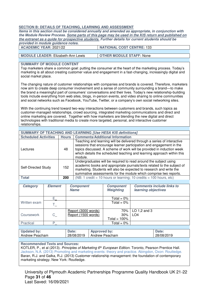**Items in this section must be considered annually and amended as appropriate, in conjunction with the Module Review Process. Some parts of this page may be used in the KIS return and published on the extranet as a guide for prospective students. Further details for current students should be provided in module guidance notes.**

**NATIONAL COST CENTRE: 133 MODULE LEADER:** Elizabeth-Ann Lewis **OTHER MODULE STAFF:** None

#### **SUMMARY OF MODULE CONTENT**

Top marketers share a common goal: putting the consumer at the heart of the marketing process. Today's marketing is all about creating customer value and engagement in a fast-changing, increasingly digital and social market place.

The changing nature of customer relationships with companies and brands is covered. Therefore, marketers now aim to create deep consumer involvement and a sense of community surrounding a brand—to make the brand a meaningful part of consumers' conversations and their lives. Today's new relationship-building tools include everything from web sites, blogs, in-person events, and video sharing to online communities and social networks such as Facebook, YouTube, Twitter, or a company's own social networking sites.

With the continuing trend toward two-way interactions between customers and brands, such topics as customer-managed relationships, crowd sourcing, integrated marketing communications and direct and online marketing are covered. Together with how marketers are blending the new digital and direct technologies with traditional media to create more targeted, personal, and interactive customer relationships.

| SUMMARY OF TEACHING AND LEARNING [Use HESA KIS definitions] |              |                                                                                                                                                                                                                                                                                                              |  |
|-------------------------------------------------------------|--------------|--------------------------------------------------------------------------------------------------------------------------------------------------------------------------------------------------------------------------------------------------------------------------------------------------------------|--|
| <b>Scheduled Activities</b>                                 | <b>Hours</b> | <b>Comments/Additional Information</b>                                                                                                                                                                                                                                                                       |  |
| Lectures                                                    | 48           | Teaching and learning will be delivered through a series of interactive<br>sessions that encourage learner participation and engagement in the<br>topics discussed. A scheme of work will be provided in induction week<br>which details the scheduled teaching and learning approach within this<br>module. |  |
| Self-Directed Study                                         | 152          | Undergraduates will be required to read around the subject using<br>academic books and appropriate journals/texts related to the subject of<br>marketing. Students will also be expected to research and write the<br>summative assessments for the module which comprise two reports.                       |  |
| <b>Total</b>                                                | 200          | (NB: 1 credit = 10 hours or learning; 10 credits = 100 hours, etc)                                                                                                                                                                                                                                           |  |

| Category     | <b>Element</b> | <b>Component</b>    | <b>Component</b> | <b>Comments include links to</b> |
|--------------|----------------|---------------------|------------------|----------------------------------|
|              |                | <b>Name</b>         | <b>Weighting</b> | learning objectives              |
|              |                |                     |                  |                                  |
|              |                |                     | Total = $0\%$    |                                  |
| Written exam |                |                     | Total = $0\%$    |                                  |
|              |                |                     |                  |                                  |
|              |                | Report (3000 words) | 70%              | LO 1,2 and 3                     |
| Coursework   | $C_{-}$        | Report (1500 words) | 30%              | LO <sub>4</sub>                  |
|              |                |                     | Total = $100\%$  |                                  |
| Practical    |                |                     | Total = $0\%$    |                                  |
|              |                |                     |                  |                                  |

| Updated by:    | Date:      | <b>Approved by:</b> | Date:      |
|----------------|------------|---------------------|------------|
| Andrew Peacham | 28/08/2019 | Andrew Peacham      | 28/08/2019 |

#### **Recommended Texts and Sources:**

KOTLER, P., et al (2013). *Principles of Marketing 6th European Edition*. Toronto, Pearson Prentice Hall. Jackson, N.A. (2013) Promoting and marketing events: theory and practice. Abingdon, Oxon: Routledge. Baran, R.J. and Galka, R.J. (2013) Customer relationship management: the foundation of contemporary marketing strategy. New York: Routledge.

University of Plymouth Academic Partnerships Programme Quality Handbook UK 21-22 Page **31** of **46** Last Saved: 16/09/2021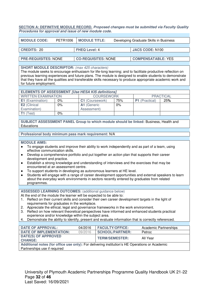| <b>MODULE CODE:</b><br>PETR1006 |  | <b>I MODULE TITLE:</b>     |  | Developing Graduate Skills in Business |
|---------------------------------|--|----------------------------|--|----------------------------------------|
|                                 |  |                            |  |                                        |
| <b>CREDITS: 20</b>              |  | <b>FHEQ Level: 4</b>       |  | <b>JACS CODE: N100</b>                 |
|                                 |  |                            |  |                                        |
| <b>PRE-REQUISITES: NONE</b>     |  | <b>CO-REQUISITES: NONE</b> |  | <b>COMPENSATABLE: YES</b>              |

**SHORT MODULE DESCRIPTOR:** *(max 425 characters)*

The module seeks to encourage enthusiasm for life-long learning; and to facilitate productive reflection on previous learning experiences and future plans. The module is designed to enable students to demonstrate that they have all the qualities and transferable skills necessary to produce appropriate academic work and for future employment.

| <b>ELEMENTS OF ASSESSMENT [Use HESA KIS definitions]</b> |    |                        |     |                       |     |  |
|----------------------------------------------------------|----|------------------------|-----|-----------------------|-----|--|
| <b>WRITTEN EXAMINATION</b>                               |    | <b>COURSEWORK</b>      |     | <b>PRACTICAL</b>      |     |  |
| <b>E1</b> (Examination)                                  | 0% | <b>C1</b> (Coursework) | 75% | <b>P1</b> (Practical) | 25% |  |
| <b>E2</b> (Clinical                                      | 0% | A1 (Generic            | 0%  |                       |     |  |
| Examination)                                             |    | Assessment)            |     |                       |     |  |
| $T1$ (Test)                                              | 0% |                        |     |                       |     |  |

**SUBJECT ASSESSMENT PANEL Group to which module should be linked:** Business, Health and **Educations** 

**Professional body minimum pass mark requirement:** N/A

**MODULE AIMS:** 

- To engage students and improve their ability to work independently and as part of a team, using effective communication skills.
- Develop a comprehensive portfolio and put together an action plan that supports their career development and practice.
- Establish a strong knowledge and understanding of interviews and the exercises that may be encountered at an assessment centre.
- To support students in developing as autonomous learners at HE level.
- Students will engage with a range of career development opportunities and external speakers to learn about the everyday work environments in sectors recently entered by graduates from related programmes.

**ASSESSED LEARNING OUTCOMES:** (additional guidance below)

- At the end of the module the learner will be expected to be able to:
- 1. Reflect on their current skills and consider their own career development targets in the light of requirements for graduates in the workplace.
- 2. Appreciate the ethical, legal and governance frameworks in the work environment.
- 3. Reflect on how relevant theoretical perspectives have informed and enhanced students practical experience and/or knowledge within the subject area.
- 4. Demonstrate the ability to identify, present and evaluate information that is correctly referenced.

| <b>DATE OF APPROVAL:</b>                                                                       | 04/2016 | <b>FACULTY/OFFICE:</b> | Academic Partnerships |  |
|------------------------------------------------------------------------------------------------|---------|------------------------|-----------------------|--|
| <b>DATE OF IMPLEMENTATION:</b>                                                                 | 09/2016 | <b>SCHOOL/PARTNER:</b> | Petroc                |  |
| <b>DATE(S) OF APPROVED</b>                                                                     |         | <b>TERM/SEMESTER:</b>  | All Year              |  |
| <b>CHANGE:</b>                                                                                 |         |                        |                       |  |
| Additional notes (for office use only): For delivering institution's HE Operations or Academic |         |                        |                       |  |
| Partnerships use if required                                                                   |         |                        |                       |  |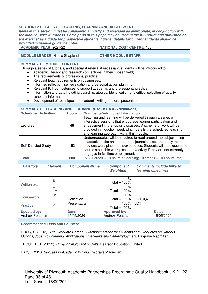**Items in this section must be considered annually and amended as appropriate, in conjunction with the Module Review Process. Some parts of this page may be used in the KIS return and published on the extranet as a guide for prospective students. Further details for current students should be** 

**provided in module guidance notes.**

**NATIONAL COST CENTRE: 133** 

**MODULE LEADER:** Nicola Shapland **OTHER MODULE STAFF:** 

#### **SUMMARY OF MODULE CONTENT**

Through a series of tutorials, and specialist referral if necessary, students will be introduced to:

- Academic literacy and research conventions in their chosen field;
	- The requirements of professional practice.
	- Relevant legal requirements on businesses.
	- Informed reflection, self-evaluation and personal action planning;
- Relevant ICT competences to support academic and professional practice;
- Information Literacy, including search strategies, identification and critical selection of quality scholarly information.
- Development of techniques of academic writing and oral presentation

|                             | SUMMARY OF TEACHING AND LEARNING [Use HESA KIS definitions] |                                                                                                                                                                                                                                                                                                                      |  |  |
|-----------------------------|-------------------------------------------------------------|----------------------------------------------------------------------------------------------------------------------------------------------------------------------------------------------------------------------------------------------------------------------------------------------------------------------|--|--|
| <b>Scheduled Activities</b> | <b>Hours</b>                                                | <b>Comments/Additional Information</b>                                                                                                                                                                                                                                                                               |  |  |
| Lectures                    | 48                                                          | Teaching and learning will be delivered through a series of<br>interactive sessions that encourage learner participation and<br>engagement in the topics discussed. A scheme of work will be<br>provided in induction week which details the scheduled teaching<br>and learning approach within this module.         |  |  |
| Self-Directed Study         | 152                                                         | Undergraduates will be required to read around the subject using<br>academic books and appropriate journals/texts, and apply them to<br>previous work placements/experience. Students will be expected to<br>source a suitable work placement/activity if they are not currently<br>engaged in full time employment. |  |  |
| <b>Total</b>                | 200                                                         | (NB: 1 credit = 10 hours or learning; 10 credits = 100 hours, etc)                                                                                                                                                                                                                                                   |  |  |

| Category                     | <b>Element</b>     | <b>Component Name</b> | <b>Component</b> | <b>Comments include links to</b> |
|------------------------------|--------------------|-----------------------|------------------|----------------------------------|
|                              |                    |                       | Weighting        | learning objectives              |
|                              |                    |                       |                  |                                  |
|                              |                    |                       | $\%$             |                                  |
| Written exam                 | $E_{\perp}$        |                       | Total = $100\%$  |                                  |
|                              |                    |                       | $\%$             |                                  |
|                              | $\mathsf{T}_\perp$ |                       | Total = $100\%$  |                                  |
|                              | C1                 |                       | 100%             |                                  |
| Coursework                   |                    | Reflection            | Total = $100\%$  | $LO$ 2,3,4                       |
|                              |                    | Presentation          | 100%             | LO <sub>1</sub>                  |
| Practical                    | $P_{-}$            |                       | Total = $100\%$  |                                  |
| <b>Updated by:</b><br>Date:  |                    | <b>Approved by:</b>   | Date:            |                                  |
| Andrew Peacham<br>15/05/2020 |                    | Andrew Peacham        | 15/05/2020       |                                  |

**Recommended Texts and Sources:** 

ROOK, S. (2013). *The Graduate Career Guidebook: Advice for Students and Graduates on Careers Options, Jobs, Volunteering, Applications, Interviews and Self-employment*, Palgrave Macmillan

TROUGHT, F. (2012). *Brilliant Employability Skills*, Pearson Education Limited.

DAY, T. 2013. *Success in Academic Writing*, Palgrave Macmillan.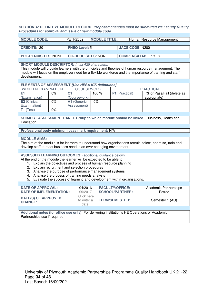| <b>MODULE CODE:</b>         | <b>PETR2052</b>            | <b>MODULE TITLE:</b> | Human Resource Management |
|-----------------------------|----------------------------|----------------------|---------------------------|
|                             |                            |                      |                           |
| <b>CREDITS: 20</b>          | <b>FHEQ Level: 5</b>       |                      | <b>JACS CODE: N200</b>    |
|                             |                            |                      |                           |
| <b>PRE-REQUISITES: NONE</b> | <b>CO-REQUISITES: NONE</b> |                      | <b>COMPENSATABLE: YES</b> |

**SHORT MODULE DESCRIPTOR:** *(max 425 characters)*

This module will provide learners with the principles and theories of human resource management. The module will focus on the employer need for a flexible workforce and the importance of training and staff development.

| <b>ELEMENTS OF ASSESSMENT [Use HESA KIS definitions]</b> |                                                 |                |                  |                |                           |  |
|----------------------------------------------------------|-------------------------------------------------|----------------|------------------|----------------|---------------------------|--|
|                                                          | <b>WRITTEN EXAMINATION</b><br><b>COURSEWORK</b> |                | <b>PRACTICAL</b> |                |                           |  |
| E1                                                       | $0\%$                                           | C <sub>1</sub> | 100%             | P1 (Practical) | % or Pass/Fail (delete as |  |
| (Examination)                                            |                                                 | (Coursework)   |                  |                | appropriate)              |  |
| <b>E2</b> (Clinical                                      | $0\%$                                           | A1 (Generic    | 0%               |                |                           |  |
| Examination)                                             |                                                 | Assessment)    |                  |                |                           |  |
| T1 (Test)                                                | 0%                                              |                |                  |                |                           |  |

**SUBJECT ASSESSMENT PANEL Group to which module should be linked:** Business, Health and Education

**Professional body minimum pass mark requirement:** N/A

**MODULE AIMS:** 

The aim of the module is for learners to understand how organisations recruit, select, appraise, train and develop staff to meet business need in an ever changing environment.

**ASSESSED LEARNING OUTCOMES:** (additional guidance below)

At the end of the module the learner will be expected to be able to:

- 1. Explain the objectives and process of human resource planning
- 2. Explain recruitment and selection procedures
- 3. Analyse the purpose of performance management systems
- 4. Analyse the process of training needs analysis
- 5. Evaluate the success of learning and development within organisations.

| <b>DATE OF APPROVAL:</b>                     | 04/2016                           | <b>FACULTY/OFFICE:</b> | Academic Partnerships |
|----------------------------------------------|-----------------------------------|------------------------|-----------------------|
| <b>DATE OF IMPLEMENTATION:</b>               | 09/2017                           | <b>SCHOOL/PARTNER:</b> | Petroc                |
| <b>DATE(S) OF APPROVED</b><br><b>CHANGE:</b> | Click here<br>to enter a<br>date. | <b>TERM/SEMESTER:</b>  | Semester 1 (AU)       |

**Additional notes (for office use only):** For delivering institution's HE Operations or Academic Partnerships use if required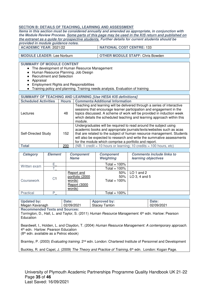**Items in this section must be considered annually and amended as appropriate, in conjunction with the Module Review Process. Some parts of this page may be used in the KIS return and published on the extranet as a guide for prospective students. Further details for current students should be** 

**provided in module guidance notes.**

**NATIONAL COST CENTRE: 133** 

**MODULE LEADER:** Lee Norburn **OTHER MODULE STAFF:** Chris Bowden

**SUMMARY OF MODULE CONTENT**

- The development of Human Resource Management
- Human Resource Planning. Job Design
- Recruitment and Selection
- Appraisal
- Employment Rights and Responsibilities
- Training policy and planning. Training needs analysis. Evaluation of training

| SUMMARY OF TEACHING AND LEARNING [Use HESA KIS definitions] |  |  |  |  |  |
|-------------------------------------------------------------|--|--|--|--|--|
|-------------------------------------------------------------|--|--|--|--|--|

| <b>Scheduled Activities</b> | <b>Hours</b> | <b>Comments/Additional Information</b>                                                                                                                                                                                                                                                                                                              |  |  |
|-----------------------------|--------------|-----------------------------------------------------------------------------------------------------------------------------------------------------------------------------------------------------------------------------------------------------------------------------------------------------------------------------------------------------|--|--|
| Lectures                    | 48           | Teaching and learning will be delivered through a series of interactive<br>sessions that encourage learner participation and engagement in the<br>topics discussed. A scheme of work will be provided in induction week<br>which details the scheduled teaching and learning approach within this<br>module.                                        |  |  |
| Self-Directed Study         | 152          | Undergraduates will be required to read around the subject using<br>academic books and appropriate journals/texts/websites such as acas<br>that are related to the subject of human resource management. Students<br>will also be expected to research and write the summative assessments<br>for the module which comprise a portfolio and report. |  |  |
| <b>Total</b>                | 200          | (NB: 1 credit = 10 hours or learning; 10 credits = 100 hours, etc)                                                                                                                                                                                                                                                                                  |  |  |

| Category     | <b>Element</b> | <b>Component</b><br><b>Name</b>                                          | <b>Component</b><br>Weighting | <b>Comments include links to</b><br>learning objectives |
|--------------|----------------|--------------------------------------------------------------------------|-------------------------------|---------------------------------------------------------|
| Written exam |                |                                                                          | Total = $100\%$               |                                                         |
|              |                |                                                                          | Total = $100\%$               |                                                         |
| Coursework   | C <sub>1</sub> | Report and<br>portfolio (2000<br>words)<br><b>Report (3000</b><br>words) | 50%<br>50%<br>Total = $100\%$ | LO 1 and 2<br>LO 3, 4 and 5                             |
| Practical    |                |                                                                          | Total = $100\%$               |                                                         |

| <b>Updated by:</b> | <b>Date:</b> | <b>Approved by:</b> | Date:      |  |  |
|--------------------|--------------|---------------------|------------|--|--|
| Megan Kavanagh     | 02/09/2021   | Tanton<br>Stacev    | 02/09/2021 |  |  |
| ____               |              |                     |            |  |  |

**Recommended Texts and Sources:** 

Torrington, D., Hall, L. and Taylor, S. (2011) *Human Resource Management.* 6 th edn. Harlow: Pearson Education

Beardwell, I., Holden, L. and Claydon, T. (2004) *Human Resource Management: A contemporary approach.*  4 th edn. Harlow: Pearson Education (8th edn. available as a Petroc ebook)

Bramley, P. (2003) *Evaluating training.* 2<sup>nd</sup> edn. London: Chartered Institute of Personnel and Development

Buckley, R. and Capel, J. (2009) *The Theory and Practice of Training***.** 6th edn. London: Kogan Page.

University of Plymouth Academic Partnerships Programme Quality Handbook UK 21-22 Page **35** of **46** Last Saved: 16/09/2021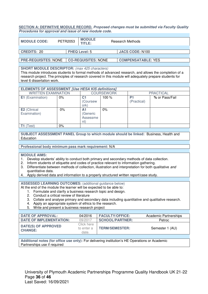| <b>MODULE CODE:</b>         | <b>PETR2053</b> | <b>MODULE</b><br>TITLE:    | Research Methods          |
|-----------------------------|-----------------|----------------------------|---------------------------|
|                             |                 |                            |                           |
| <b>CREDITS: 20</b>          |                 | <b>FHEQ Level: 5</b>       | <b>JACS CODE: N100</b>    |
|                             |                 |                            |                           |
| <b>PRE-REQUISITES: NONE</b> |                 | <b>CO-REQUISITES: NONE</b> | <b>COMPENSATABLE: YES</b> |

**SHORT MODULE DESCRIPTOR:** *(max 425 characters)*

This module introduces students to formal methods of advanced research, and allows the completion of a research project. The principles of research covered in this module will adequately prepare students for level 6 dissertation work.

| <b>ELEMENTS OF ASSESSMENT [Use HESA KIS definitions]</b> |       |                   |         |                  |                |
|----------------------------------------------------------|-------|-------------------|---------|------------------|----------------|
| <b>WRITTEN EXAMINATION</b>                               |       | <b>COURSEWORK</b> |         | <b>PRACTICAL</b> |                |
| <b>E1</b> (Examination)                                  | 0%    | C1                | 100 $%$ | P <sub>1</sub>   | % or Pass/Fail |
|                                                          |       | (Coursew          |         | (Practical)      |                |
|                                                          |       | ork)              |         |                  |                |
| <b>E2</b> (Clinical                                      | $0\%$ | Α1                | $0\%$   |                  |                |
| Examination)                                             |       | (Generic          |         |                  |                |
|                                                          |       | Assessme          |         |                  |                |
|                                                          |       | nt)               |         |                  |                |
| (Test)                                                   | $0\%$ |                   |         |                  |                |

**SUBJECT ASSESSMENT PANEL Group to which module should be linked:** Business, Health and Education

#### **Professional body minimum pass mark requirement:** N/A

**MODULE AIMS:** 

- 1. Develop students' ability to conduct both primary and secondary methods of data collection.
- 2. Inform students of etiquette and codes of practice relevant to information gathering.
- 3. Differentiate between methods of collection, illustration and interpretation for both qualitative *and*  quantitative data.
- 4. Apply derived data and information to a properly structured written report/case study.

**ASSESSED LEARNING OUTCOMES:** (additional guidance below)

- At the end of the module the learner will be expected to be able to:
	- 1. Formulate and clarify a business research topic and design.
	- 2. Conduct a critical review of literature
	- 3. Collate and analyse primary and secondary data including quantitative and qualitative research.
	- 4. Apply an appropriate system of ethics to the research.<br>5. Write and present a business research project
	- Write and present a business research project

| <b>DATE OF APPROVAL:</b>                     | 04/2016                           | <b>FACULTY/OFFICE:</b> | Academic Partnerships |
|----------------------------------------------|-----------------------------------|------------------------|-----------------------|
| <b>DATE OF IMPLEMENTATION:</b>               | 09/2017                           | <b>SCHOOL/PARTNER:</b> | Petroc                |
| <b>DATE(S) OF APPROVED</b><br><b>CHANGE:</b> | Click here<br>to enter a<br>date. | <b>TERM/SEMESTER:</b>  | Semester 1 (AU)       |
|                                              |                                   |                        |                       |

**Additional notes (for office use only):** For delivering institution's HE Operations or Academic Partnerships use if required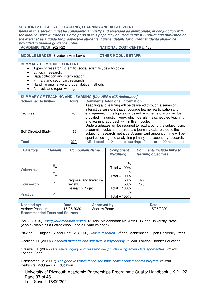**Items in this section must be considered annually and amended as appropriate, in conjunction with the Module Review Process. Some parts of this page may be used in the KIS return and published on the extranet as a guide for prospective students. Further details for current students should be** 

**provided in module guidance notes.**

**NATIONAL COST CENTRE: 133** 

**MODULE LEADER:** Elizabeth-Ann Lewis **OTHER MODULE STAFF:** 

**SUMMARY OF MODULE CONTENT**

- Types of research: scientific, social scientific, psychological.
- Ethics in research.
- Data collection and interpretation.
- Primary and secondary research.
- Handling qualitative and quantitative methods.
- Analysis and report writing.

| SUMMARY OF TEACHING AND LEARNING [Use HESA KIS definitions] |              |                                                                                                                                                                                                                                                                                                              |  |  |
|-------------------------------------------------------------|--------------|--------------------------------------------------------------------------------------------------------------------------------------------------------------------------------------------------------------------------------------------------------------------------------------------------------------|--|--|
| <b>Scheduled Activities</b>                                 | <b>Hours</b> | <b>Comments/Additional Information</b>                                                                                                                                                                                                                                                                       |  |  |
| Lectures                                                    | 48           | Teaching and learning will be delivered through a series of<br>interactive sessions that encourage learner participation and<br>engagement in the topics discussed. A scheme of work will be<br>provided in induction week which details the scheduled teaching<br>and learning approach within this module. |  |  |
| Self Directed Study                                         | 152          | Undergraduates will be required to read around the subject using<br>academic books and appropriate journals/texts related to the<br>subject of research methods. A significant amount of time will be<br>spent collecting and analysing primary and secondary research.                                      |  |  |
| <b>Total</b>                                                | 200          | (NB: 1 credit = 10 hours or learning; 10 credits = 100 hours, etc)                                                                                                                                                                                                                                           |  |  |

| Category     | <b>Element</b> | <b>Component Name</b>                                        | <b>Component</b><br>Weighting | <b>Comments include links to</b><br>learning objectives |
|--------------|----------------|--------------------------------------------------------------|-------------------------------|---------------------------------------------------------|
|              | E_             |                                                              | %<br>Total = $100\%$          |                                                         |
| Written exam | Τ_             |                                                              | $\%$<br>Total = $100\%$       |                                                         |
| Coursework   | C <sub>1</sub> | Proposal and literature<br>review<br><b>Research Project</b> | 50%<br>50%<br>Total = $100\%$ | $LO1-2$<br>LO <sub>3</sub> -5                           |
| Practical    | P.             |                                                              | $\%$<br>Total = $100\%$       |                                                         |

| Updated by:                          | Date:      | <b>Approved by:</b> | Date:      |  |  |
|--------------------------------------|------------|---------------------|------------|--|--|
| Andrew Peacham                       | 15/05/2020 | Andrew Peacham      | 15/05/2020 |  |  |
| <b>Recommended Texts and Sources</b> |            |                     |            |  |  |

Bell, J. (2010) *Doing your research project*. 5<sup>th</sup> edn. Maidenhead: McGraw-Hill Open University Press (Also available as a Petroc ebook, and a Plymouth ebook)

Blaxter, L., Hughes, C. and Tight, M. (2006) *[How to research.](http://10.0.1.120:8888/olibcgi?session=83945332&infile=details.glu&loid=70170&rs=79270&hitno=1)* 3rd edn. Maidenhead: Open University Press

Coolican, H. (2009) *[Research methods and statistics in psychology.](http://10.0.1.120:8888/olibcgi?session=83945332&infile=details.glu&loid=70976&rs=79271&hitno=3)* 5 th edn. London: Hodder Education.

Creswell, J. (2007) *[Qualitative inquiry and research design: choosing among five approaches.](http://10.0.1.120:8888/olibcgi?keyword=Qualitative+inquiry+and+research+design%3A+choosing+among+five+approaches&session=83945332&infile=presearch.glue)* 2nd edn. London: Sage

Denscombe, M. (2007) *[The good research guide:](http://10.0.1.120:8888/olibcgi?session=83945332&infile=details.glu&loid=70169&rs=79276&hitno=1) for small-scale social research projects.* 3rd edn. Berkshire: McGraw-Hill Education

University of Plymouth Academic Partnerships Programme Quality Handbook UK 21-22 Page **37** of **46** Last Saved: 16/09/2021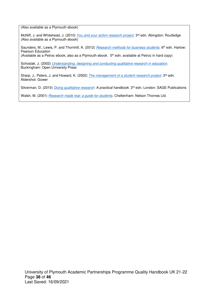(Also available as a Plymouth ebook)

McNiff, J. and Whitehead, J. (2010) *[You and your action research project.](http://10.0.1.120:8888/olibcgi?session=83945332&infile=details.glu&loid=73570&rs=79281&hitno=2)* 3 rd edn. Abingdon: Routledge (Also available as a Plymouth ebook)

Saunders, M., Lewis, P. and Thornhill, A. (2012) *[Research methods for business students.](http://10.0.1.120:8888/olibcgi?session=83945332&infile=details.glu&loid=71294&rs=79284&hitno=1)* 6 th edn. Harlow: Pearson Education

(Available as a Petroc ebook, also as a Plymouth ebook. 5<sup>th</sup> edn. available at Petroc in hard copy)

Schostak, J. (2002) *[Understanding, designing and conducting qualitative research in education.](http://10.0.1.120:8888/olibcgi?keyword=Understanding%2C+designing+and+conducting+qualitative+research+in+education&session=83945332&infile=presearch.glue&x=35&y=11)* Buckingham: Open University Press

Sharp, J., Peters, J. and Howard, K. (2002) *[The management of a student research project.](http://10.0.1.120:8888/olibcgi?session=83945332&infile=details.glu&loid=73794&rs=79286&hitno=1)* 3rd edn. Aldershot: Gower

Silverman, D. (2010) *[Doing qualitative research:](http://10.0.1.120:8888/olibcgi?session=83945332&infile=details.glu&loid=72213&rs=79287&hitno=2) A practical handbook.* 3<sup>rd</sup> edn. London: SAGE Publications

Walsh, M. (2001) *[Research made real: a guide for students.](http://10.0.1.120:8888/olibcgi?keyword=Research+made+real%3A+a+guide+for+students&session=88866167&infile=presearch.glue)* Cheltenham: Nelson Thornes Ltd.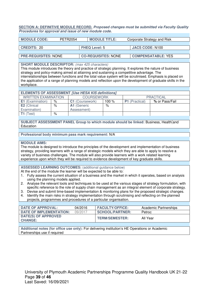| <b>MODULE CODE:</b>         | PETR2054 | <b>MODULE TITLE:</b>       | Corporate Strategy and Risk |
|-----------------------------|----------|----------------------------|-----------------------------|
|                             |          |                            |                             |
| <b>CREDITS: 20</b>          |          | <b>FHEQ Level: 5</b>       | <b>JACS CODE: N100</b>      |
|                             |          |                            |                             |
| <b>PRE-REQUISITES: NONE</b> |          | <b>CO-REQUISITES: NONE</b> | <b>COMPENSATABLE: YES</b>   |

**SHORT MODULE DESCRIPTOR:** *(max 425 characters)*

This module introduces the theory and practice of strategic planning. It explores the nature of business strategy and policy-making aimed at attaining and sustaining a competitive advantage. The interrelationships between functions and the total value system will be scrutinised. Emphasis is placed on the application of a range of planning models and reflection upon the development of graduate skills in the workplace.

|                                                       |   | <b>ELEMENTS OF ASSESSMENT [Use HESA KIS definitions]</b> |         |                       |                |
|-------------------------------------------------------|---|----------------------------------------------------------|---------|-----------------------|----------------|
| <b>WRITTEN EXAMINATION</b><br>COURSEWORK<br>PRACTICAL |   |                                                          |         |                       |                |
| <b>E1</b> (Examination)                               | % | <b>C1</b> (Coursework)                                   | 100 $%$ | <b>P1</b> (Practical) | % or Pass/Fail |
| <b>E2</b> (Clinical                                   | % | A1 (Generic                                              | %       |                       |                |
| Examination)                                          |   | Assessment)                                              |         |                       |                |
| T1 (Test)                                             | % |                                                          |         |                       |                |

**SUBJECT ASSESSMENT PANEL Group to which module should be linked:** Business, Health and Education

**Professional body minimum pass mark requirement:** N/A

#### **MODULE AIMS:**

The module is designed to introduce the principles of the development and implementation of business strategy, providing learners with a range of strategic models which they are able to apply to resolve a variety of business challenges. The module will also provide learners with a work related learning experience upon which they will be required to evidence development of key graduate skills.

**ASSESSED LEARNING OUTCOMES:** (additional guidance below)

At the end of the module the learner will be expected to be able to:

- 1. Fully assess the current situation of a business and the market in which it operates, based on analysis using the planning models applied.
- 2. Analyse the relevant tools and techniques to be used at the various stages of strategy formulation, with specific reference to the role of supply chain management as an integral element of corporate strategy.
- 3. Devise and submit time-based implementation & monitoring plans for the proposed strategic changes.
- 4. Identify the main risks in strategy implementation through scrutinising and reflecting on the planned projects, programmes and procedures of a particular organisation.

| <b>DATE OF IMPLEMENTATION:</b><br><b>SCHOOL/PARTNER:</b><br>09/2017<br>Petroc<br>DATE(S) OF APPROVED<br><b>TERM/SEMESTER:</b><br>All Year | <b>DATE OF APPROVAL:</b> | 04/2016 | <b>FACULTY/OFFICE:</b> | Academic Partnerships |
|-------------------------------------------------------------------------------------------------------------------------------------------|--------------------------|---------|------------------------|-----------------------|
|                                                                                                                                           |                          |         |                        |                       |
|                                                                                                                                           | <b>CHANGE:</b>           |         |                        |                       |

**Additional notes (for office use only):** For delivering institution's HE Operations or Academic Partnerships use if required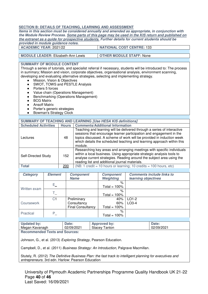**Items in this section must be considered annually and amended as appropriate, in conjunction with the Module Review Process. Some parts of this page may be used in the KIS return and published on the extranet as a guide for prospective students. Further details for current students should be** 

**provided in module guidance notes. NATIONAL COST CENTRE: 133** 

**MODULE LEADER:** Elizabeth-Ann Lewis **OTHER MODULE STAFF:** None

#### **SUMMARY OF MODULE CONTENT**

Through a series of tutorials, and specialist referral if necessary, students will be introduced to: The process in summary; Mission and vision, corporate objectives, organisational analysis, environment scanning, developing and evaluating alternative strategies, selecting and implementing strategy.

- **Mission, Vision & Objectives**
- SWOT, TOWS and PESTLE Analysis
- Porters 5 forces
- Value chain (Operations Management)
- Benchmarking (Operations Management)
- **BCG Matrix**
- **Ansoff Matrix**
- Porter's generic strategies
- **Bowman's Strategy Clock**

|                             | SUMMARY OF TEACHING AND LEARNING [Use HESA KIS definitions] |                                                                                                                                                                                                                                                                                                              |  |  |  |
|-----------------------------|-------------------------------------------------------------|--------------------------------------------------------------------------------------------------------------------------------------------------------------------------------------------------------------------------------------------------------------------------------------------------------------|--|--|--|
| <b>Scheduled Activities</b> | <b>Hours</b>                                                | <b>Comments/Additional Information</b>                                                                                                                                                                                                                                                                       |  |  |  |
| Lectures                    | 48                                                          | Teaching and learning will be delivered through a series of interactive<br>sessions that encourage learner participation and engagement in the<br>topics discussed. A scheme of work will be provided in induction week<br>which details the scheduled teaching and learning approach within this<br>module. |  |  |  |
| Self-Directed Study         | 152                                                         | Researching key areas and arranging meetings with specific individuals<br>within a local business. Using appropriate strategic analysis tools to<br>analyse current strategies. Reading around the subject area using the<br>reading list and additional journal materials.                                  |  |  |  |
| <b>Total</b>                | 200                                                         | (NB: 1 credit = 10 hours or learning; 10 credits = 100 hours, etc)                                                                                                                                                                                                                                           |  |  |  |

| Category     | <b>Element</b> | <b>Component</b><br><b>Name</b>                        | <b>Component</b><br>Weighting | <b>Comments include links to</b><br>learning objectives |
|--------------|----------------|--------------------------------------------------------|-------------------------------|---------------------------------------------------------|
|              | E_.            |                                                        | %<br>Total = $100\%$          |                                                         |
| Written exam | Τ_             |                                                        | %<br>Total = $100\%$          |                                                         |
| Coursework   | C <sub>1</sub> | Preliminary<br>Consultancy<br><b>Final Consultancy</b> | 40%<br>60%<br>Total = $100\%$ | LO1-2<br>$LO3-4$                                        |
| Practical    | P.             |                                                        | %<br>Total = $100\%$          |                                                         |

| <b>Updated by:</b> | <b>Date:</b> | <b>Approved by:</b>           | Date:      |  |
|--------------------|--------------|-------------------------------|------------|--|
| Megan Kavanagh     | 02/09/2021   | Stacev <sup>1</sup><br>Tanton | 02/09/2021 |  |
|                    |              |                               |            |  |

**Recommended Texts and Sources:** 

Johnson, G., et al. (2013) *Exploring Strategy*, Pearson Education.

Campbell, D., et al. (2011) *Business Strategy: An Introduction*, Palgrave Macmillan.

Stutely, R. (2012) *The Definitive Business Plan: the fast track to intelligent planning for executives and entrepreneurs.* 3rd edn. Harlow: Pearson Education

University of Plymouth Academic Partnerships Programme Quality Handbook UK 21-22 Page **40** of **46** Last Saved: 16/09/2021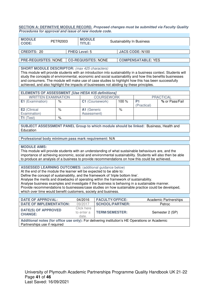| <b>MODULE</b><br>  CODE: I  | PETR2003 | <b>MODULE</b><br>TITLE:    |  | Sustainability In Business |  |
|-----------------------------|----------|----------------------------|--|----------------------------|--|
|                             |          |                            |  |                            |  |
| <b>CREDITS: 20</b>          |          | <b>FHEQ Level: 5</b>       |  | <b>JACS CODE: N100</b>     |  |
|                             |          |                            |  |                            |  |
| <b>PRE-REQUISITES: NONE</b> |          | <b>CO-REQUISITES: NONE</b> |  | <b>COMPENSATABLE: YES</b>  |  |

#### **SHORT MODULE DESCRIPTOR:** *(max 425 characters)*

This module will provide students with an introduction into sustainability in a business context. Students will study the concepts of environmental, economic and social sustainability and how this benefits businesses and consumers. The module will make use of case studies to highlight how this has been successfully achieved, and also highlight the impacts of businesses not abiding by these principles.

| <b>ELEMENTS OF ASSESSMENT [Use HESA KIS definitions]</b> |   |                        |         |                  |                |  |
|----------------------------------------------------------|---|------------------------|---------|------------------|----------------|--|
| <b>WRITTEN EXAMINATION</b>                               |   | <b>COURSEWORK</b>      |         | <b>PRACTICAL</b> |                |  |
| <b>E1</b> (Examination)                                  | % | <b>C1</b> (Coursework) | 100 $%$ | P <sub>1</sub>   | % or Pass/Fail |  |
|                                                          |   |                        |         | (Practical)      |                |  |
| <b>E2</b> (Clinical                                      | % | A1 (Generic            | %       |                  |                |  |
| Examination)                                             |   | Assessment)            |         |                  |                |  |
| <b>T1</b> (Test)                                         | % |                        |         |                  |                |  |

**SUBJECT ASSESSMENT PANEL Group to which module should be linked:** Business, Health and Education

**Professional body minimum pass mark requirement:** N/A

#### **MODULE AIMS:**

This module will provide students with an understanding of what sustainable behaviours are, and the importance of achieving economic, social and environmental sustainability. Students will also then be able to produce an analysis of a business to provide recommendations on how this could be achieved.

**ASSESSED LEARNING OUTCOMES:** (additional guidance below)

At the end of the module the learner will be expected to be able to:

Define the concept of sustainability, and the framework of 'triple bottom line'.

Analyse the merits and drawbacks of operating within the framework of sustainability.

Analyse business examples and investigate if the business is behaving in a sustainable manner.

Provide recommendations to businesses/case studies on how sustainable practice could be developed,

which over time would benefit customers, society and business.

| <b>DATE OF APPROVAL:</b>                                                                                                       | 04/2016                           | <b>FACULTY/OFFICE:</b> | <b>Academic Partnerships</b> |  |  |
|--------------------------------------------------------------------------------------------------------------------------------|-----------------------------------|------------------------|------------------------------|--|--|
| <b>DATE OF IMPLEMENTATION:</b>                                                                                                 | 09/2017                           | <b>SCHOOL/PARTNER:</b> | Petroc                       |  |  |
| <b>DATE(S) OF APPROVED</b><br><b>CHANGE:</b>                                                                                   | Click here<br>to enter a<br>date. | <b>TERM/SEMESTER:</b>  | Semester 2 (SP)              |  |  |
| Additional notes (for office use only): For delivering institution's HE Operations or Academic<br>Partnerships use if required |                                   |                        |                              |  |  |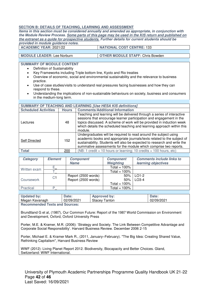**Items in this section must be considered annually and amended as appropriate, in conjunction with the Module Review Process. Some parts of this page may be used in the KIS return and published on the extranet as a guide for prospective students. Further details for current students should be** 

**provided in module guidance notes.**

**NATIONAL COST CENTRE: 133** 

**MODULE LEADER:** Lee Norburn **OTHER MODULE STAFF:** Chris Bowden

#### **SUMMARY OF MODULE CONTENT**

- Definition of Sustainability
- Key Frameworks including Triple bottom line, Kyoto and Rio treaties
- Overview of economic, social and environmental sustainability and the relevance to business practice.
- Use of case studies/visits to understand real pressures facing businesses and how they can respond to these.
- Understanding the implications of non-sustainable behaviours on society, business and consumers in the medium-long term.

#### **SUMMARY OF TEACHING AND LEARNING** *IUse HESA KIS definitions1*

| <b>Scheduled Activities</b> | <b>Hours</b> | <b>Comments/Additional Information</b>                                                                                                                                                                                                                                                                       |  |  |
|-----------------------------|--------------|--------------------------------------------------------------------------------------------------------------------------------------------------------------------------------------------------------------------------------------------------------------------------------------------------------------|--|--|
| Lectures                    | 48           | Teaching and learning will be delivered through a series of interactive<br>sessions that encourage learner participation and engagement in the<br>topics discussed. A scheme of work will be provided in induction week<br>which details the scheduled teaching and learning approach within this<br>module. |  |  |
| Self Directed               | 152          | Undergraduates will be required to read around the subject using<br>academic books and appropriate journals/texts related to the subject of<br>sustainability. Students will also be expected to research and write the<br>summative assessments for the module which comprise two reports.                  |  |  |
| <b>Total</b>                | 200          | (NB: 1 credit = 10 hours or learning; 10 credits = 100 hours, etc)                                                                                                                                                                                                                                           |  |  |

| Category     | <b>Element</b> | <b>Component</b><br><b>Name</b>            | <b>Component</b><br><b>Weighting</b> | <b>Comments include links to</b><br>learning objectives |
|--------------|----------------|--------------------------------------------|--------------------------------------|---------------------------------------------------------|
|              |                |                                            | Total = $100\%$                      |                                                         |
| Written exam |                |                                            | Total = $100\%$                      |                                                         |
| Coursework   | C <sub>1</sub> | Report (2500 words)<br>Report (2500 words) | $50\%$<br>50%<br>Total = $100\%$     | LO1-2<br>$LO3-4$                                        |
| Practical    |                |                                            | Total = $100\%$                      |                                                         |

| <b>Updated by:</b>                     | Date:      | Approved by:         | Date:      |
|----------------------------------------|------------|----------------------|------------|
| Megan Kavanagh                         | 02/09/2021 | <b>Stacey Tanton</b> | 02/09/2021 |
| <b>Decemporated Texts and Coursess</b> |            |                      |            |

**Recommended Texts and Sources:** 

Brundtland G et al, (1987), Our Common Future: Report of the 1987 World Commission on Environment and Development, Oxford, Oxford University Press

Porter, M.E. & Kramer, M.R. (2006): 'Strategy and Society. The Link Between Competitive Advantage and Corporate Social Responsibility'. Harvard Business Review. December 2006 2-15

Porter, Michael E. & Kramer Mark R., (2011, January–February). "The Big Idea: Creating Shared Value, Rethinking Capitalism", Harvard Business Review

WWF (2012): Living Planet Report 2012. Biodiversity, Biocapacity and Better Choices. Gland, Switzerland: WWF International.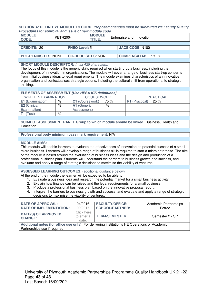| <b>MODULE</b><br><b>CODE:</b> | <b>PETR2004</b>      | <b>MODULE</b><br>TITLE:    | Enterprise and Innovation |  |
|-------------------------------|----------------------|----------------------------|---------------------------|--|
|                               |                      |                            |                           |  |
| <b>CREDITS: 20</b>            | <b>FHEQ Level: 5</b> |                            | <b>JACS CODE: N100</b>    |  |
|                               |                      |                            |                           |  |
| <b>PRE-REQUISITES: NONE</b>   |                      | <b>CO-REQUISITES: NONE</b> | <b>COMPENSATABLE: YES</b> |  |

**SHORT MODULE DESCRIPTOR:** *(max 425 characters)*

The focus of this module is the generic skills required when starting up a business, including the development of innovation in organisations. The module will cover a range of business start-up concerns from initial business ideas to legal requirements. The module examines characteristics of an innovative organisation and contextualises strategic options, including the cultural shift from operational to strategic thinking.

| <b>ELEMENTS OF ASSESSMENT [Use HESA KIS definitions]</b> |   |                        |      |                       |                  |
|----------------------------------------------------------|---|------------------------|------|-----------------------|------------------|
| <b>WRITTEN EXAMINATION</b>                               |   | COURSEWORK             |      |                       | <b>PRACTICAL</b> |
| <b>E1</b> (Examination)                                  | % | <b>C1</b> (Coursework) | 75 % | <b>P1</b> (Practical) | 25%              |
| <b>E2</b> (Clinical                                      | % | A1 (Generic            | %    |                       |                  |
| Examination)                                             |   | Assessment)            |      |                       |                  |
| T1 (Test)                                                | % |                        |      |                       |                  |

**SUBJECT ASSESSMENT PANEL Group to which module should be linked:** Business, Health and Education

**Professional body minimum pass mark requirement:** N/A

#### **MODULE AIMS:**

This module will enable learners to evaluate the effectiveness of innovation on potential success of a small micro business. Learners will develop a range of business skills required to start a micro enterprise. The aim of the module is based around the evaluation of business ideas and the design and production of a professional business plan. Students will understand the barriers to business growth and success, and evaluate and apply a range of strategic decisions to maximise the viability of ventures.

**ASSESSED LEARNING OUTCOMES:** (additional guidance below)

At the end of the module the learner will be expected to be able to:

- 1. Evaluate a business idea and research the potential market for a small business activity.
- 2. Explain how finance can be raised and the legal requirements for a small business.
- 3. Produce a professional business plan based on the innovative proposal report.
- 4. Interpret the barriers to business growth and success, and evaluate and apply a range of strategic decisions to maximise the viability of ventures.

| <b>DATE OF APPROVAL:</b>                                                                                                       | 04/2016                           | <b>FACULTY/OFFICE:</b> | <b>Academic Partnerships</b> |  |  |
|--------------------------------------------------------------------------------------------------------------------------------|-----------------------------------|------------------------|------------------------------|--|--|
| <b>DATE OF IMPLEMENTATION:</b>                                                                                                 | 09/2017                           | <b>SCHOOL/PARTNER:</b> | Petroc                       |  |  |
| <b>DATE(S) OF APPROVED</b><br><b>CHANGE:</b>                                                                                   | Click here<br>to enter a<br>date. | TERM/SEMESTER:         | Semester 2 - SP              |  |  |
| Additional notes (for office use only): For delivering institution's HE Operations or Academic<br>Partnerships use if required |                                   |                        |                              |  |  |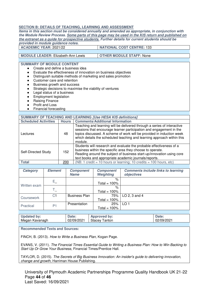**Items in this section must be considered annually and amended as appropriate, in conjunction with the Module Review Process. Some parts of this page may be used in the KIS return and published on the extranet as a guide for prospective students. Further details for current students should be** 

**provided in module guidance notes.**

**MODULE LEADER:** Elizabeth-Ann Lewis **OTHER MODULE STAFF:** None

**NATIONAL COST CENTRE: 133** 

**SUMMARY OF MODULE CONTENT**

- Create and define a business idea
- Evaluate the effectiveness of innovation on business objectives
- Distinguish suitable methods of marketing and sales promotion
- Customer care and retention
- Business growth and success
- Strategic decisions to maximise the viability of ventures
- Legal status of a business
- **Employment legislation**
- **Raising Finance**
- Profit and Loss
- **Financial forecasting**

| SUMMARY OF TEACHING AND LEARNING [Use HESA KIS definitions] |     |                                                                                                                                                                                                                                                                                                              |  |  |
|-------------------------------------------------------------|-----|--------------------------------------------------------------------------------------------------------------------------------------------------------------------------------------------------------------------------------------------------------------------------------------------------------------|--|--|
| <b>Scheduled Activities</b>                                 |     | Hours   Comments/Additional Information                                                                                                                                                                                                                                                                      |  |  |
| Lectures                                                    | 48  | Teaching and learning will be delivered through a series of interactive<br>sessions that encourage learner participation and engagement in the<br>topics discussed. A scheme of work will be provided in induction week<br>which details the scheduled teaching and learning approach within this<br>module. |  |  |
| Self-Directed Study                                         | 152 | Students will research and evaluate the probable effectiveness of a<br>business within the specific area they choose to operate.<br>Reading around the subject of business start-up/innovation using core<br>text books and appropriate academic journals/reports.                                           |  |  |
| <b>Total</b>                                                | 200 | (NB: 1 credit = 10 hours or learning; 10 credits = 100 hours, etc)                                                                                                                                                                                                                                           |  |  |

| Category     | <b>Element</b> | <b>Component</b><br><b>Name</b> | <b>Component</b><br>Weighting | <b>Comments include links to learning</b><br>objectives |
|--------------|----------------|---------------------------------|-------------------------------|---------------------------------------------------------|
|              | E_             |                                 | $\%$<br>Total = $100\%$       |                                                         |
| Written exam |                |                                 | %<br>Total = $100\%$          |                                                         |
| Coursework   | C <sub>1</sub> | <b>Business Plan</b>            | 75%<br>Total = $100\%$        | LO 2, 3 and 4                                           |
| Practical    | P1             | Presentation                    | 25%<br>Total = $100\%$        | LO <sub>1</sub>                                         |

| <b>Updated by:</b> | Date:      | <b>Approved by:</b>  | Date:      |
|--------------------|------------|----------------------|------------|
| Megan Kavanagh     | 02/09/2021 | <b>Stacev Tanton</b> | 02/09/2021 |
|                    |            |                      |            |

**Recommended Texts and Sources:** 

FINCH, B. (2013). *How to Write a Business Plan*, Kogan Page.

EVANS, V. (2011). *The Financial Times Essential Guide to Writing a Business Plan: How to Win Backing to Start Up Or Grow Your Business*, Financial Times/Prentice Hall.

TAYLOR, D. (2015). *The Secrets of Big Business Innovation: An insider's guide to delivering innovation, change and growth*, Harriman House Publishing.

University of Plymouth Academic Partnerships Programme Quality Handbook UK 21-22 Page **44** of **46** Last Saved: 16/09/2021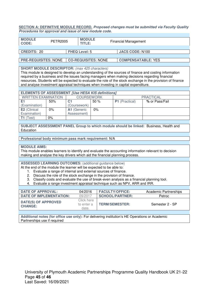| <b>MODULE</b><br>CODE:      | <b>PETR2005</b> | <b>MODULE</b><br>TITLE:    | Financial Management      |  |
|-----------------------------|-----------------|----------------------------|---------------------------|--|
|                             |                 |                            |                           |  |
| <b>CREDITS: 20</b>          |                 | <b>FHEQ Level: 5</b>       | <b>JACS CODE: N100</b>    |  |
|                             |                 |                            |                           |  |
| <b>PRE-REQUISITES: NONE</b> |                 | <b>CO-REQUISITES: NONE</b> | <b>COMPENSATABLE: YES</b> |  |

**SHORT MODULE DESCRIPTOR:** *(max 425 characters)*

This module is designed to develop an understanding of the sources of finance and costing information required by a business and the issues facing managers when making decisions regarding financial resources. Students will be expected to evaluate the role of the stock exchange in the provision of finance and analyse investment appraisal techniques when investing in capital expenditure.

| <b>ELEMENTS OF ASSESSMENT [Use HESA KIS definitions]</b> |     |                   |     |                  |                |  |
|----------------------------------------------------------|-----|-------------------|-----|------------------|----------------|--|
| <b>WRITTEN EXAMINATION</b>                               |     | <b>COURSEWORK</b> |     | <b>PRACTICAL</b> |                |  |
| E1                                                       | 50% | C <sub>1</sub>    | 50% | P1 (Practical)   | % or Pass/Fail |  |
| (Examination)                                            |     | (Coursework)      |     |                  |                |  |
| <b>E2</b> (Clinical                                      | 0%  | A1 (Generic       | 0%  |                  |                |  |
| Examination)                                             |     | Assessment)       |     |                  |                |  |
| T1 (Test)                                                | 0%  |                   |     |                  |                |  |

**SUBJECT ASSESSMENT PANEL Group to which module should be linked:** Business, Health and Education

**Professional body minimum pass mark requirement:** N/A

**MODULE AIMS:** 

This module enables learners to identify and evaluate the accounting information relevant to decision making and analyse the key drivers which aid the financial planning process.

**ASSESSED LEARNING OUTCOMES:** (additional guidance below)

At the end of the module the learner will be expected to be able to:

- 1. Evaluate a range of internal and external sources of finance.
- 2. Discuss the role of the stock exchange in the provision of finance.
- 3. Classify costs and evaluate the use of break-even analysis as a financial planning tool.
- 4. Evaluate a range investment appraisal technique such as NPV, ARR and IRR.

| <b>DATE OF APPROVAL:</b>              | 04/2016                           | <b>FACULTY/OFFICE:</b> | Academic Partnerships |
|---------------------------------------|-----------------------------------|------------------------|-----------------------|
| <b>DATE OF IMPLEMENTATION:</b>        | 09/2017                           | <b>SCHOOL/PARTNER:</b> | <b>Petroc</b>         |
| DATE(S) OF APPROVED<br><b>CHANGE:</b> | Click here<br>to enter a<br>date. | <b>TERM/SEMESTER:</b>  | Semester 2 - SP       |

**Additional notes (for office use only):** For delivering institution's HE Operations or Academic Partnerships use if required